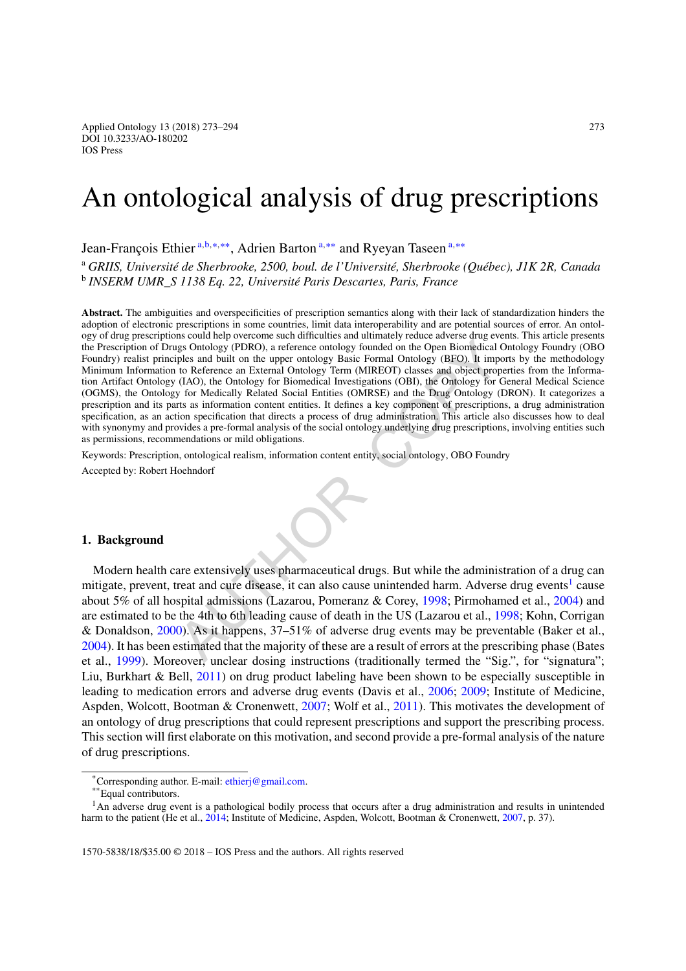Applied Ontology 13 (2018) 273–294 273 DOI 10.3233/AO-180202 IOS Press

# An ontological analysis of drug prescriptions

<span id="page-0-0"></span>Je[a](#page-0-0)n-François Ethier<sup>a,[b](#page-0-1),\*,\*\*</sup>, Adrien Barton<sup>a,\*\*</sup> and Ryeyan Taseen<sup>a,\*\*</sup>

<span id="page-0-1"></span><sup>a</sup> *GRIIS, Université de Sherbrook e , 2500, boul. d e l'Université, Sherbrook e (Québec), J1K 2R, Canada* <sup>b</sup> *INSERM UMR\_S 1138 Eq. 22, Université Paris Descartes, Paris, France*

as conclude the the properties are resterned and the USD (Tep Biomedical the Space Correlation)<br>In Solution in the upper ontology founded on the Open Biomedical theorem and the upper ontology Term (MIREOT) classes and obje Abstract. The ambiguities and overspecificities of prescription semantics along with their lack of standardization hinders the adoption of electronic prescriptions in some countries, limit data interoperability and are potential sources of error. An ontology of drug prescriptions could help overcome such difficulties and ultimately reduce adverse drug events. This article presents the Prescription o f Drugs Ontology (PDRO), a reference ontology founded o n the Open Biomedical Ontology Foundry (OBO Foundry) realist principles and built on the upper ontology Basic Formal Ontology (BFO). It imports by the methodology Minimum Information t o Reference an External Ontology Term (MIREOT) classes and object properties from the Information Artifact Ontology (IAO), the Ontology for Biomedical Investigations (OBI), the Ontology for General Medical Science (OGMS), the Ontology for Medically Related Social Entities (OMRSE) and the Drug Ontology (DRON). I t categorizes a prescription and its parts as information content entities. It defines a key component of prescriptions, a drug administration specification, as an action specification that directs a process of drug administration. This article also discusses how to deal with synonymy and provides a pre-formal analysis of the social ontology underlying drug prescriptions, involving entities such as permissions, recommendations or mild obligations.

K eywords: Prescription, ontological realism, information content entity, social ontology, OBO Foundry

Accepted by: Robert Hoehndorf

#### <span id="page-0-5"></span>**1. Background**

Modern health care extensively uses pharmaceutical drugs. But while the administration of a drug can mitigate, prevent, treat and cure disease, it can also cause unintended harm. Adverse drug events<sup>[1](#page-0-4)</sup> cause about 5% of all hospital admissions (Lazarou, Pomeranz & Corey, 1998; Pirmohamed et al., [2004](#page-20-0)) and are estimated to be the 4th to 6th leading cause of death in the US (Lazarou et al., [1998](#page-19-0); Kohn, Corrigan & Donaldson, [2000](#page-19-1)). As it happens, 37–51% of adverse drug events may be preventable (Baker et al., [2004\)](#page-18-0). It has been estimated that the majority of these are a result of errors at the prescribing phase (Bates et al., [1999](#page-18-1)). Moreover, unclear dosing instructions (traditionally termed the "Sig.", for "signatura"; Liu, Burkhart & Bell, [2011](#page-20-1)) on drug product labeling have been shown to be especially susceptible in leading to medication errors and adverse drug events (Davis et al., [2006](#page-19-2); [2009](#page-19-3); Institute of Medicine, Aspden, Wolcott, Bootman & Cronenwett, [2007](#page-19-4); Wolf et al., [2011](#page-21-0)). This motivates the development of an ontology of drug prescriptions that could represent prescriptions and support the prescribing process. This section will first elaborate on this motivation, and second provide a pre-formal analysis of the nature of drug prescriptions.

1570-5838/18/\$35.00 © 2018 – IOS Press and the authors. All rights reserv e d

<span id="page-0-2"></span><sup>\*</sup>Corresponding author. E-mail: [ethierj@gmail.com](mailto:ethierj@gmail.com) .

<span id="page-0-4"></span><span id="page-0-3"></span><sup>\*\*</sup>Equal contributors.

<sup>&</sup>lt;sup>1</sup>An adverse drug event is a pathological bodily process that occurs after a drug administration and results in unintended harm to the patient (He et al., [2014](#page-19-5); Institute of Medicine, Aspden, Wolcott, Bootman & Cronenwett, [2007,](#page-19-4) p. 37).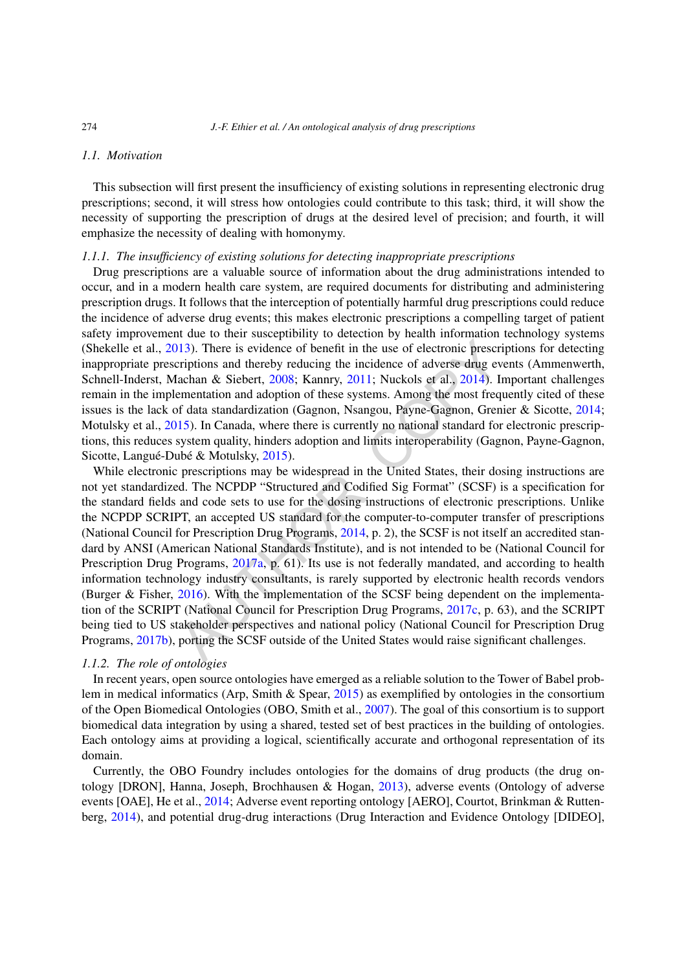#### *1.1. Motivation*

This subsection will first present the insufficienc y of e xisting solutions in representing electronic drug prescriptions; second, it will stress how ontologies could contribute to this task; third, it will show the necessity of supporting the prescription of drugs at the desired level of precision; and fourth, it will emphasize the necessity of dealing with homonymy .

#### *1.1.1. The insufficiency of existing solutions for detecting inappropriate prescriptions*

Drug prescriptions are a valuable source of information about the drug administrations intended to occur , and i n a modern health care system, are required documents for distributing and administering prescription drugs. It follows that the interception of potentially harmful drug prescriptions could reduce the incidence of adverse drug events; this makes electronic prescriptions a compelling target of patient safety improvement due to their susceptibility to detection by health information technology systems (Shekelle et al., [2013](#page-20-2)). There is evidence of benefit in the use of electronic prescriptions for detecting inappropriate prescriptions and thereby reducing the incidence of adverse drug events (Ammenwerth, Schnell-Inderst, Machan & Siebert, 2008; Kannry, 2011; Nuckols et al., 2014). Important challenges remain in the implementation and adoption of these systems. Among the most frequently cited of these issues is the lack of data standardization (Gagnon, Nsangou, Payne-Gagnon, Grenier & Sicotte, [2014](#page-19-7); Motulsky et al., [2015\)](#page-20-4). In Canada, where there is currently no national standard for electronic prescriptions, this reduces system quality, hinders adoption and limits interoperability (Gagnon, Payne-Gagnon, Sicotte, Langué-Dubé & Motulsky, 2015).

013). There is evidence of benefit in the use of electronic prescriptions and thereby reducing the incidence of adverse drug evaluation & Siebert, 2008; Kannry, 2011; Nuckols et al., 2014). I ementation and adoption of th While electronic prescriptions may be widespread in the United States, their dosing instructions are not yet standardized. The NCPDP "Structured and Codified Sig Format" (SCSF) is a specification for the standard fields and code sets to use for the dosing instructions of electronic prescriptions. Unlik e the NCPDP SCRIPT , a n accepted U S standard for the computer-to-computer transfer of prescriptions (National Council for Prescription Drug Programs, 2014, p. 2), the SCSF is not itself an accredited standard by ANSI (American National Standards Institute), and is not intended to be (National Council for Prescription Drug Programs, 2017a, p. 61). Its use is not federally mandated, and according to health information technology industry consultants, is rarely supported b y electronic health records vendors (Burger & Fisher, 2016). With the implementation of the SCSF being dependent on the implementation of the SCRIPT (National Council for Prescription Drug Programs, 2017c, p. 63), and the SCRIPT being tied to US stakeholder perspectives and national policy (National Council for Prescription Drug Programs, [2017b\)](#page-20-8), porting the SCSF outside of the United States would raise significant challenges.

#### *1.1.2. The role of ontolo gies*

In recent years, open source ontologies ha v e emerged a s a reliable solution t o the Tower o f Babel problem in medical informatics (Arp, Smith & Spear, [2015\)](#page-18-3) as exemplified by ontologies in the consortium of the Open Biomedical Ontologies (OBO, Smith et al., [2007](#page-20-9)). The goal of this consortium is to support biomedical data integration by using a shared, tested set of best practices in the building of ontologies. Each ontology aims at providing a logical, scientifically accurate and orthogonal representation of its domain.

Currently , the OBO Foundry includes ontologies for the domains of drug products (the drug ontology [DRON], Hanna, Joseph, Brochhausen & Hogan, [2013](#page-19-10)), adverse events (Ontology of adverse events [OAE], He et al., [2014](#page-19-5); Adverse event reporting ontology [AERO], Courtot, Brinkman & Ruttenberg, [2014](#page-19-11)), and potential drug-drug interactions (Drug Interaction and Evidence Ontology [DIDEO],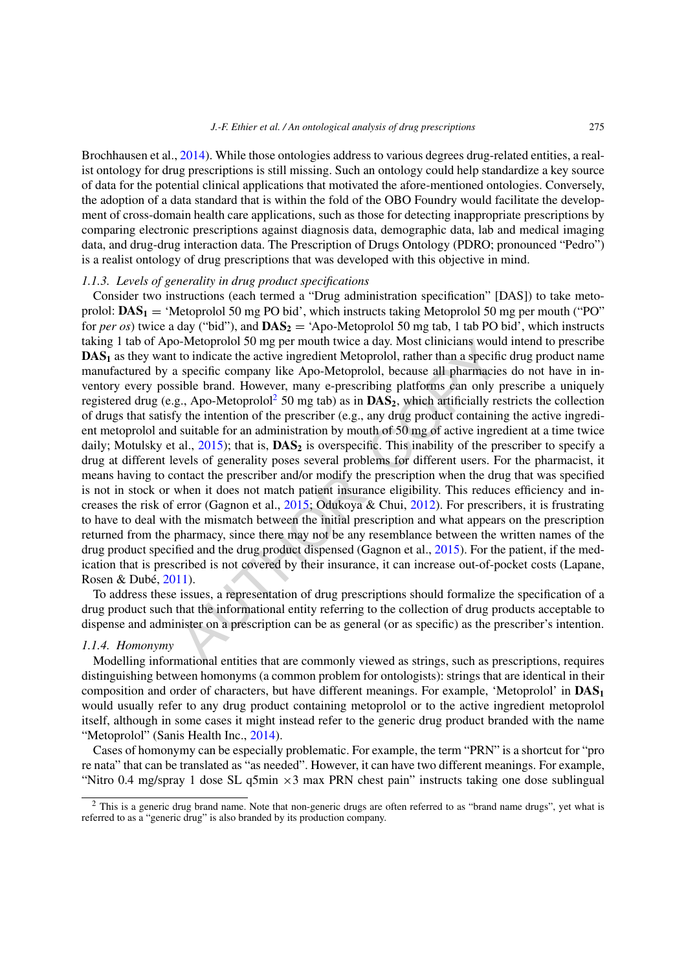Brochhausen et al., [2014](#page-20-10)). While those ontologies address to various degrees drug-related entities, a realist ontology for drug prescriptions is still missing. Such an ontology could help standardize a key source of data for the potential clinical applications that motivated the afore-mentioned ontologies. Conversely, the adoption of a data standard that is within the fold of the OBO Foundry would facilitate the development of cross-domain health care applications, such as those for detecting inappropriate prescriptions by comparing electronic prescriptions against diagnosis data, demographic data, lab and medical imaging data, and drug-drug interaction data. The Prescription o f Drugs Ontology (PDRO; pronounced "Pedro") is a realist ontology of drug prescriptions that was developed with this objective in mind.

#### <span id="page-2-1"></span>*1.1.3. Levels of generality in drug product specifications*

*J.-F. Enhier et al. /An omological analysis of drug prescriptions* 275<br>2014). While those ontologies address to various degrees from generating in generating in the source<br>and prescriptions is still missing. Such an ontol Consider two instructions (each termed a "Drug administration specification" [DAS]) to take metoprolol:  $\text{DAS}_1$  = 'Metoprolol 50 mg PO bid', which instructs taking Metoprolol 50 mg per mouth ("PO" for *per os*) twice a day ("bid"), and  $\textbf{DAS}_2 = 'Apo-Metoprolol 50$  mg tab, 1 tab PO bid', which instructs taking 1 tab of Apo-Metoprolol 50 mg per mouth twice a day . Most clinicians would intend t o prescribe DAS<sub>1</sub> as they want to indicate the active ingredient Metoprolol, rather than a specific drug product name manufactured by a specific company like Apo-Metoprolol, because all pharmacies do not have in inventory every possible brand. However, many e-prescribing platforms can only prescribe a uniquely registered drug (e.g., Apo-Metoprolol<sup>2</sup> 50 mg tab) as in  $\text{DAS}_2$ , which artificially restricts the collection of drugs that satisfy the intention of the prescriber (e.g., any drug product containing the active ingredient metoprolol and suitable for an administration by mouth of 50 mg of active ingredient at a time twice daily; Motulsky et al., 2015); that is, DAS<sub>2</sub> is overspecific. This inability of the prescriber to specify a drug at different levels of generality poses several problems for different users. For the pharmacist, it means having to contact the prescriber and/or modify the prescription when the drug that was specified is not in stock or when it does not match patient insurance eligibility. This reduces efficiency and increases the risk of error (Gagnon et al., 2015; Odukoya & Chui, 2012). For prescribers, it is frustrating to have to deal with the mismatch between the initial prescription and what appears on the prescription returned from the pharmacy, since there may not be any resemblance between the written names of the drug product specified and the drug product dispensed (Gagnon et al., 2015). For the patient, if the medication that is prescribed is not covered by their insurance, it can increase out-of-pocket costs (Lapane, Rosen & Dubé, [2011](#page-19-12)).

To address these issues, a representation o f drug prescriptions should formalize the specification o f a drug product such that the informational entity referring to the collection of drug products acceptable to dispense and administer on a prescription can be as general (or as specific) as the prescriber's intention.

#### *1.1.4. Homonymy*

Modelling informational entities that are commonly viewed as strings, such as prescriptions, requires distinguishing between homonyms ( a common problem for ontologists): strings that are identical in their composition and order of characters, but have different meanings. For example, 'Metoprolol' in DAS<sub>1</sub> would usually refer to any drug product containing metoprolol or to the active ingredient metoprolol itself, although in some cases it might instead refer to the generic drug product branded with the name "Metoprolol" (Sanis Health Inc., [2014\)](#page-20-12).

Cases o f homonymy can be especially problematic. For e xample, the term "PRN" is a shortcut for "pro re nata" that can be translated as "as needed". However, it can have two different meanings. For example, "Nitro 0.4 mg/spray 1 dose S L q5min × 3 max PRN chest pain" instructs taking one dose sublingual

<span id="page-2-0"></span> $2$  This is a generic drug brand name. Note that non-generic drugs are often referred to as "brand name drugs", yet what is referred to as a "generic drug" is also branded by its production company.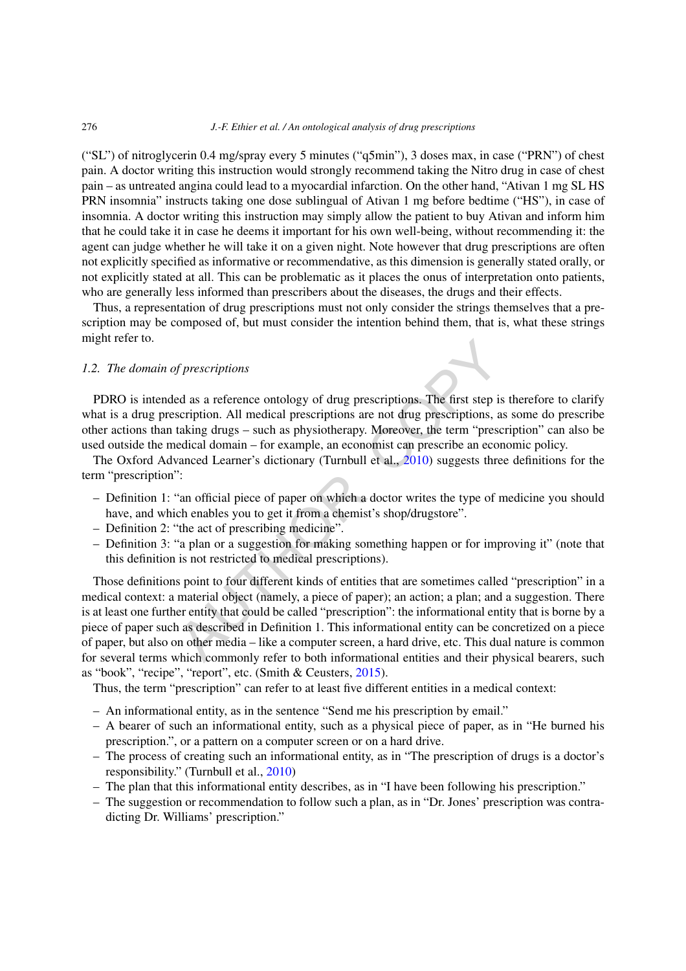#### *J.-F. Ethier e t al. / A n ontolo gical analysis of drug prescriptions*

("SL") of nitroglycerin 0.4 mg/spray e v ery 5 minutes ("q5min"), 3 doses max, in case ("PRN") of chest pain. A doctor writing this instruction would strongly recommend taking the Nitro drug in case of chest pain – as untreated angina could lead to a myocardial infarction. On the other hand, "Ativan 1 mg SL HS PRN insomnia" instructs taking one dose sublingual of Ativan 1 mg before bedtime ("HS"), in case of insomnia. A doctor writing this instruction may simply allow the patient to buy Ativan and inform him that he could take it in case he deems it important for his own well-being, without recommending it: the agent can judge whether he will take it on a given night. Note however that drug prescriptions are often not explicitly specified as informative or recommendative, as this dimension is generally stated orally, or not explicitly stated at all. This can be problematic as it places the onus of interpretation onto patients, who are generally less informed than prescribers about the diseases, the drugs and their effects.

Thus, a representation o f drug prescriptions must not only consider the strings themselves that a prescription may be composed of, but must consider the intention behind them, that is, what these strings might refer to.

#### *1.2. The domain of p rescriptions*

PDRO is intended as a reference ontology of drug prescriptions. The first step is therefore to clarify what is a drug prescription. All medical prescriptions are not drug prescriptions, a s some d o prescribe other actions than taking drugs – such as physiotherapy. Moreover, the term "prescription" can also be used outside the medical domain – for example, an economist can prescribe an economic policy.

The Oxford Advanced Learner's dictionary (Turnbull et al., 2010) suggests three definitions for the term "prescription":

- Definition 1: "an official piece of paper o n which a doctor writes the type of medicine you should have, and which enables you to get it from a chemist's shop/drugstore".
- Definition 2 : "the act of prescribing medicine".
- Definition 3: "a plan or a suggestion for making something happen or for improving it" (note that this definition i s not restricted to medical prescriptions).

<span id="page-3-0"></span>f prescriptions<br>and as a reference ontology of drug prescriptions. The first step is<br>scription. All medical prescriptions are not drug prescriptions, a<br>taking drugs – such as physiotherapy. Moreover, the term "prese<br>edical Those definitions point to four different kinds of entities that are sometimes called "prescription" in a medical conte xt: a material object (namely , a piece of paper); an action; a plan; and a suggestion. There is at least one further entity that could b e called "prescription": the informational entity that is borne by a piece of paper such a s described in Definition 1 . This informational entity can be concretized on a piece of paper, but also on other media – like a computer screen, a hard drive, etc. This dual nature is common for several terms which commonly refer to both informational entities and their physical bearers, such as "book", "recipe", "report", etc. (Smith & Ceusters, [2015](#page-20-14)).

Thus, the term "prescription" can refer to at least five different entities in a medical context:

- An informational entity, as in the sentence "Send me his prescription by email."
- A bearer of such an informational entity , such a s a physical piece of paper , as in "He burned his prescription.", or a pattern on a computer screen or on a hard drive.
- The process o f creating such a n informational entity , a s i n "The prescription o f drugs is a doctor' s responsibility." (Turnbull et al., [2010](#page-20-13))
- The plan that this informational entity describes, as in "I have been following his prescription."
- The suggestion or recommendation to follow such a plan, as in "Dr. Jones' prescription was contradicting Dr. Williams' prescription."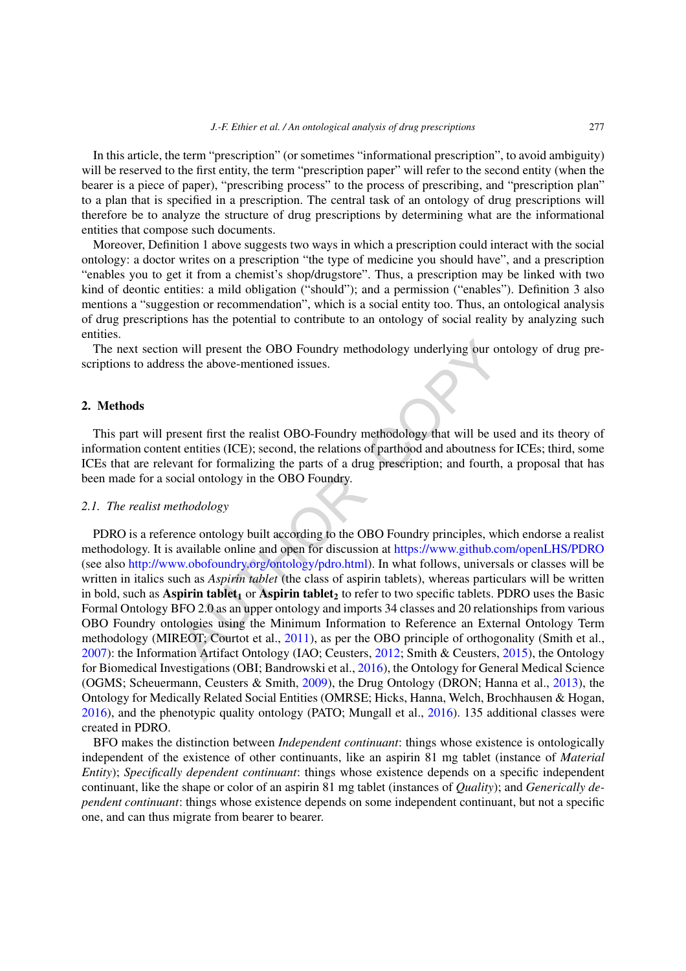In this article, the term "prescription" (or sometimes "informational prescription", to avoid ambiguity) will be reserved to the first entity, the term "prescription paper" will refer to the second entity (when the bearer is a piece of paper), "prescribing process" to the process of prescribing, and "prescription plan" to a plan that i s specified i n a prescription. The central task of an ontology of drug prescriptions will therefore be to analyze the structure of drug prescriptions by determining what are the informational entities that compose such documents.

Moreover, Definition 1 above suggests two ways in which a prescription could interact with the social ontology: a doctor writes on a prescription "the type of medicine you should have", and a prescription "enables you to get it from a chemist's shop/drugstore". Thus, a prescription may be linked with two kind of deontic entities: a mild obligation ("should"); and a permission ("enables"). Definition 3 also mentions a "suggestion or recommendation", which is a social entity too. Thus, an ontological analysis of drug prescriptions has the potential t o contrib ute to an ontology of social reality by analyzing such entities.

The next section will present the OBO Foundry methodology underlying our ontology of drug prescriptions to address the above-mentioned issues.

# **2. Methods**

This part will present first the realist OBO-Foundry methodology that will be used and its theory of information content entities (ICE); second, the relations of parthood and aboutness for ICEs; third, some ICEs that are relevant for formalizing the parts of a drug prescription; and fourth, a proposal that has been made for a social ontology in the OBO Foundry .

#### *2.1. The realist methodolo g y*

*J.-E. Enhier et al. /An omological analysis of drug prescriptions*<sup>2777</sup><br>tem tem "prescription" (or sometimes "informational prescription", to avoid ambiguity)<br>the fragment, "prescribing process" to the process of prescri PDRO is a reference ontology built according to the OBO Foundry principles, which endorse a realist methodology. It is available online and open for discussion at [https://www.github.com/openLHS/PDR](https://www.github.com/openLHS/PDRO)O (see also http://www.obofoundry.org/ontology/pdro.html). In what follows, universals or classes will be written in italics such as *Aspirin tablet* (the class of aspirin tablets), whereas particulars will be written in bold, such as **Aspirin tablet <sup>1</sup>** or **Aspirin tablet <sup>2</sup>** to refer t o t w o specific tablets. PDR O uses the Basic F ormal Ontology BFO 2.0 as an upper ontology and imports 34 classes and 20 relationships from various OBO Foundry ontologies using the Minimum Information to Reference an External Ontology Term methodology (MIREOT; Courtot et al., 2011), as per the OBO principle of orthogonality (Smith et al., [2007\)](#page-20-9): the Information Artifact Ontology (IAO; Ceusters, 2012 ; Smith & Ceusters, [2015\)](#page-20-14), the Ontology for Biomedical Investigations (OBI; Bandrowski et al., [2016](#page-18-4)), the Ontology for General Medical Science (OGMS; Scheuermann, Ceusters & Smith, [2009](#page-20-15)), the Drug Ontology (DRON; Hanna et al., [2013\)](#page-19-10), the Ontology for Medically Related Social Entities (OMRSE; Hicks, Hanna, Welch, Brochhausen & Hogan, [2016\)](#page-19-15), and the phenotypic quality ontology (PATO; Mungall e t al., [2016\)](#page-20-16). 135 additional classes were created in PDR O .

BFO makes the distinction between *Independent continuant* : things whose existence is ontologically independent of the existence of other continuants, lik e a n aspirin 81 mg tablet (instance o f *Material Entity*); *Specifically dependent continuant* : things whose existence depends on a specific independent continuant, like the shape or color of an aspirin 81 mg tablet (instances of *Quality*); and *Generically dependent continuant*: things whose existence depends on some independent continuant, but not a specific one, and can thus migrate from bearer to bearer .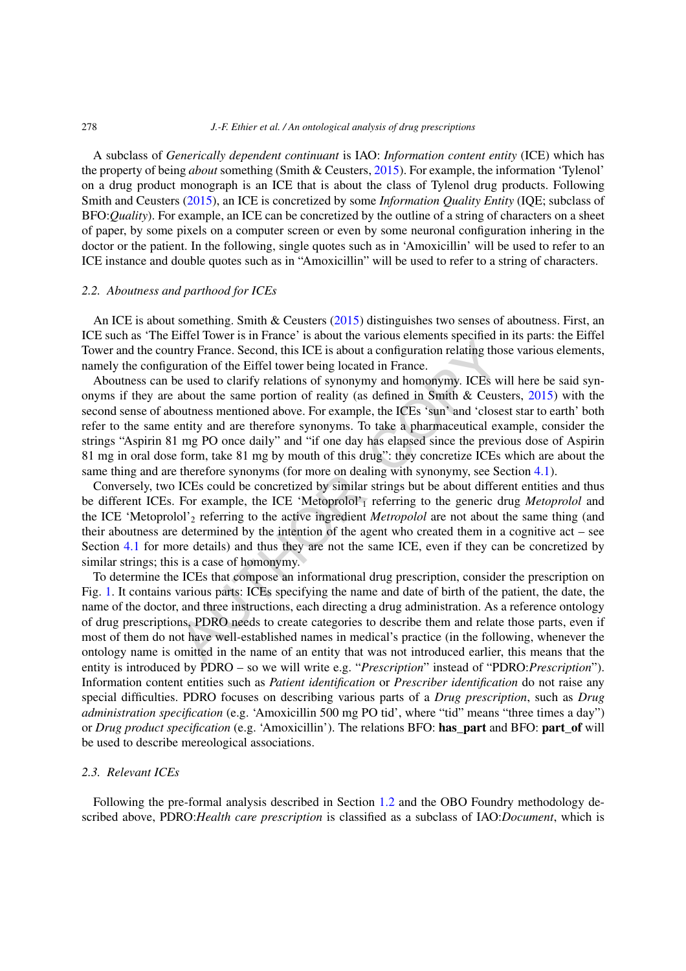A subclass of *Generically dependent continuant* is IAO: *Information content entity* (ICE) which has the property of being *about* something (Smith & Ceusters, [2015](#page-20-14)). For example, the information 'Tylenol' on a drug product monograph i s a n ICE that is about the class of Tylenol drug products. Following Smith and Ceusters [\(2015](#page-20-14)), an ICE i s concretized by some *Information Quality Entity* (IQE; subclass of BFO: Quality). For example, an ICE can be concretized by the outline of a string of characters on a sheet of paper, by some pixels on a computer screen or even by some neuronal configuration inhering in the doctor or the patient. In the following, single quotes such as in 'Amoxicillin' will be used to refer to an ICE instance and double quotes such as in "Amoxicillin" will be used to refer to a string of characters.

#### *2.2. Aboutness and parthood for ICEs*

An ICE is about something. Smith & Ceusters [\(2015](#page-20-14)) distinguishes two senses of aboutness. First, an ICE such a s 'The Eiffel To wer is in France' is about the various elements specified i n its parts: the Eiffel Tower and the country France. Second, this ICE i s about a configuration relating those various elements, namely the configuration o f the Eiffel tower being located in France.

Entry France Second, this ICE is about a configuration relating the<br>thry France. Second, this ICE is about a configuration relating the<br>tration of the Eiffel tower being located in France.<br>e used to clarify relations of s Aboutness can be used to clarify relations of synonymy and homonymy . ICEs will here be said synonyms if they are about the same portion of reality (as defined in Smith & Ceusters, [2015](#page-20-14)) with the second sense of aboutness mentioned above. For example, the ICEs 'sun' and 'closest star to earth' both refer to the same entity and are therefore synonyms. To take a pharmaceutical example, consider the strings "Aspirin 81 mg PO once daily" and "if one day has elapsed since the previous dose of Aspirin 81 mg in oral dose form, take 81 mg by mouth of this drug": they concretize ICEs which are about the same thing and are therefore synonyms (for more on dealing with synonymy, see Section [4.1\)](#page-13-0).

Conversely, two ICEs could be concretized by similar strings but be about different entities and thus be different ICEs. For example, the ICE 'Metoprolol'<sub>1</sub> referring to the generic drug *Metoprolol* and the ICE 'Metoprolol'<sub>2</sub> referring to the active ingredient *Metropolol* are not about the same thing (and their aboutness are determined by the intention of the agent who created them in a cognitive act – see Section [4.1](#page-13-0) for more details) and thus they are not the same ICE, even if they can be concretized by similar strings; this is a case of homonymy.

To determine the ICEs that compose an informational drug prescription, consider the prescription on Fig. [1](#page-6-0). It contains various parts: ICEs specifying the name and date of birth of the patient, the date, the name of the doctor , and three instructions, each directing a drug administration. As a reference ontology of drug prescriptions, PDRO needs to create categories to describe them and relate those parts, even if most of them do not have well-established names in medical's practice (in the following, whenever the ontology name is omitted in the name of an entity that was not introduced earlier, this means that the entity is introduced by PDRO – so we will write e.g. "*Prescription*" instead of "PDRO:*Prescription*"). Information content entities such as Patient *identification* or Prescriber *identification* do not raise any special difficulties. PDR O focuses o n describing various parts o f a *Drug prescription*, s u c h a s *Drug* administration specification (e.g. 'Amoxicillin 500 mg PO tid', where "tid" means "three times a day") or *Drug product specification* (e.g. 'Amoxicillin'). The relations BFO: **has\_part** and BFO: **part\_of** will be used to describe mereological associations.

#### *2.3. Relevant ICEs*

Following the pre-formal analysis described in Section [1.2](#page-3-0) and the OBO Foundry methodology described above, PDRO:*Health care prescription* is classified as a subclass of IAO:*Document*, which is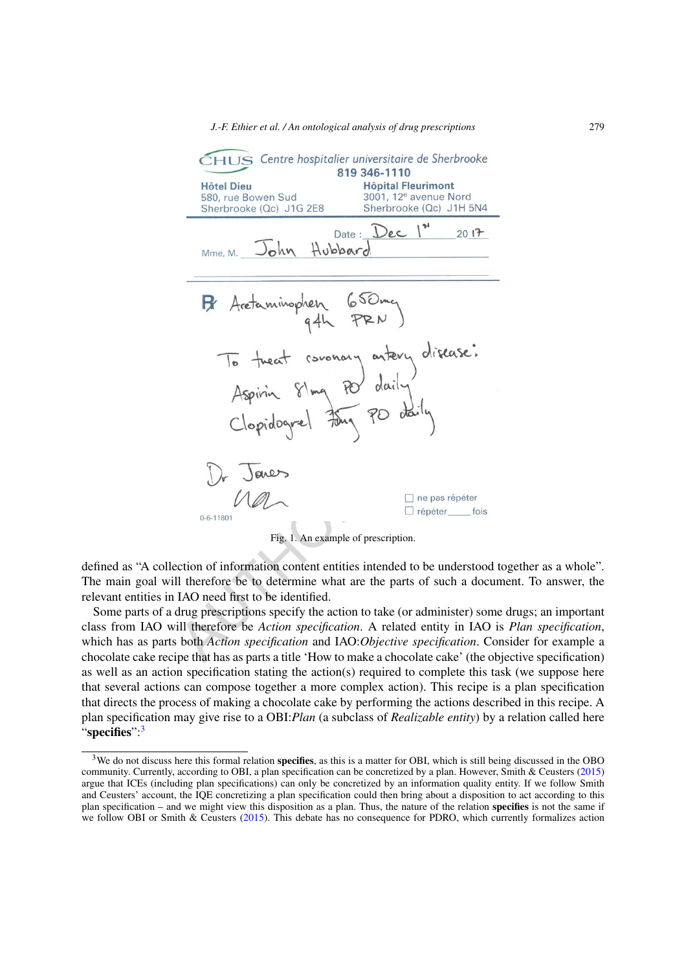| J.-F. Ethier et al. / An ontological analysis of drug prescriptions                                                                                                                                                                                                                                                                                                                                                                                                                                                                                                                   | 279 |
|---------------------------------------------------------------------------------------------------------------------------------------------------------------------------------------------------------------------------------------------------------------------------------------------------------------------------------------------------------------------------------------------------------------------------------------------------------------------------------------------------------------------------------------------------------------------------------------|-----|
| CHUS Centre hospitalier universitaire de Sherbrooke<br>819 346-1110<br><b>Hôpital Fleurimont</b><br><b>Hôtel Dieu</b><br>3001, 12 <sup>e</sup> avenue Nord<br>580, rue Bowen Sud<br>Sherbrooke (Qc) J1H 5N4<br>Sherbrooke (Qc) J1G 2E8                                                                                                                                                                                                                                                                                                                                                |     |
| Mme, M. John Hubbard<br>2017                                                                                                                                                                                                                                                                                                                                                                                                                                                                                                                                                          |     |
| Br Aretaminophen 650mg                                                                                                                                                                                                                                                                                                                                                                                                                                                                                                                                                                |     |
| To treat covonory artery disease:<br>Aspirin 81mg PO daily<br>Clopidogrel Fory PO daily                                                                                                                                                                                                                                                                                                                                                                                                                                                                                               |     |
| $U_r$ Jeners<br>$\Box$ ne pas répéter<br>répéter_____fois<br>$0 - 6 - 11801$                                                                                                                                                                                                                                                                                                                                                                                                                                                                                                          |     |
| Fig. 1. An example of prescription.                                                                                                                                                                                                                                                                                                                                                                                                                                                                                                                                                   |     |
| cition of information content entities intended to be understood together as a whole".<br>Il therefore be to determine what are the parts of such a document. To answer, the<br>IAO need first to be identified.<br>drug prescriptions specify the action to take (or administer) some drugs; an important<br>ill therefore be Action specification. A related entity in IAO is Plan specification,<br>both Action specification and IAO:Objective specification. Consider for example a<br>pe that has as parts a title 'How to make a chocolate cake' (the objective specification) |     |

<span id="page-6-0"></span>Fig. 1. An e xample o f prescription.

defined as "A collection of information content entities intended to be understood together as a whole". The main goal will therefore be to determine what are the parts of such a document. To answer, the rele v ant entities i n I AO need first to be identified.

Some parts of a drug prescriptions specify the action to take (or administer) some drugs; an important class from I AO will therefore b e *Action specification* . A related entity in IAO i s *Plan specification* , which has as parts both *Action specification* and IAO:Objective specification. Consider for example a chocolate cak e recipe that has a s parts a title 'Ho w to mak e a chocolate cake' (the objecti v e specification) as well as an action specification stating the action(s) required to complete this task (we suppose here that se v eral actions can compose together a more comple x action). This recipe is a plan specification that directs the process o f making a chocolate cak e b y performing the actions described i n this recipe. A plan specification may give rise to a OBI: Plan (a subclass of Realizable entity) by a relation called here "**specifies**": [3](#page-6-1)

<span id="page-6-1"></span><sup>&</sup>lt;sup>3</sup>We do not discuss here this formal relation **specifies**, as this is a matter for OBI, which is still being discussed in the OBO community. Currently, according to OBI, a plan specification can be concretized by a plan. However, Smith & Ceusters [\(2015](#page-20-14)) argue that ICEs (including plan specifications) can only be concretized by an information quality entity. If we follow Smith and Ceusters' account, the IQE concretizing a plan specification could then bring about a disposition to act according to this plan specification – and we might view this disposition as a plan. Thus, the nature of the relation specifies is not the same if we follow OBI or Smith & Ceusters [\(2015](#page-20-14)). This debate has no consequence for PDRO, which currently formalizes action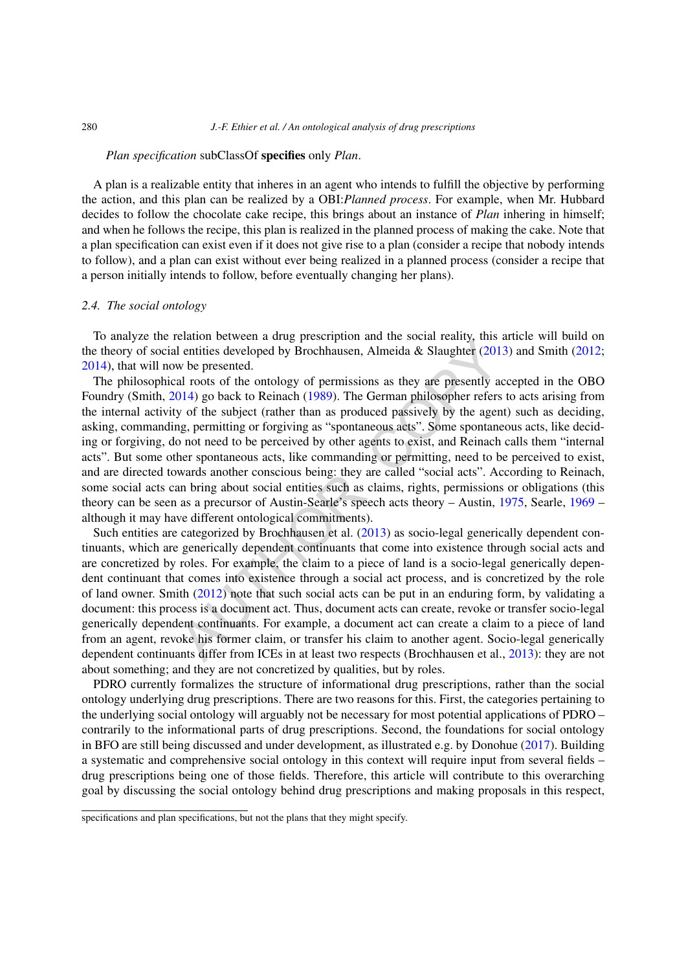#### *Plan specification* subClassOf **specifies** only *Plan* .

A plan is a realizable entity that inheres in an agent who intends to fulfill the objective by performing the action, and this plan can be realized by a OBI: Planned process. For example, when Mr. Hubbard decides to follow the chocolate cake recipe, this brings about an instance of *Plan* inhering in himself; and when h e follows the recipe, this plan i s realized in the planned process o f making the cake. Note that a plan specification can exist even if it does not give rise to a plan (consider a recipe that nobody intends to follow), and a plan can exist without ever being realized in a planned process (consider a recipe that a person initially intends to follo w , before e ventually changing her plans).

#### *2.4. The social ontolo g y*

To analyze the relation between a drug prescription and the social reality, this article will build on the theory of social entities developed by Brochhausen, Almeida & Slaughter [\(2013](#page-19-16)) and Smith [\(2012](#page-20-17); [2014\)](#page-20-18), that will now be presented.

claim of the ending presention and all social relations of a lentities developed by Brochhausen, Almeida & Slaughter (201<br>al entities developed by Brochhausen, Almeida & Slaughter (201<br>al roots of the ontology of permissi The philosophical roots of the ontology of permissions as they are presently accepted in the OBO Foundry (Smith, [2014](#page-20-18)) go back to Reinach (1989). The German philosopher refers to acts arising from the internal activity of the subject (rather than as produced passively by the agent) such as deciding, asking, commanding, permitting or forgiving as "spontaneous acts". Some spontaneous acts, like deciding or forgiving, do not need to be perceived by other agents to exist, and Reinach calls them "internal acts". But some other spontaneous acts, like commanding or permitting, need to be perceived to exist, and are directed towards another conscious being: they are called "social acts". According to Reinach, some social acts can bring about social entities such as claims, rights, permissions or obligations (this theory can be seen as a precursor of Austin-Searle's speech acts theory – Austin, [1975](#page-18-5), Searle, [1969](#page-20-20) – although it may h a v e different ontological commitments).

Such entities are categorized by Brochhausen et al. (2013) as socio-legal generically dependent continuants, which are generically dependent continuants that come into existence through social acts and are concretized by roles. For example, the claim to a piece of land is a socio-legal generically dependent continuant that comes into existence through a social act process, and is concretized by the role of land owner. Smith (2012) note that such social acts can be put in an enduring form, by validating a document: this process is a document act. Thus, document acts can create, revoke or transfer socio-legal generically dependent continuants. For example, a document act can create a claim to a piece of land from a n agent, r e vok e his former claim, or transfer his claim to another agent. Socio-le gal generically dependent continuants differ from ICEs in at least two respects (Brochhausen et al., [2013](#page-19-16)): they are not about something; and they are not concretized by qualities, but by roles.

PDRO currently formalizes the structure of informational drug prescriptions, rather than the social ontology underlying drug prescriptions. There are t w o reasons for this. First, the categories pertaining t o the underlying social ontology will arguably not be necessary for most potential applications of PDR O – contrarily to the informational parts of drug prescriptions. Second, the foundations for social ontology in BFO are still being discussed and under development, as illustrated e.g. by Donohue [\(2017](#page-19-17)). Building a systematic and comprehensive social ontology in this context will require input from several fields drug prescriptions being one of those fields. Therefore, this article will contribute to this overarching goal b y discussing the social ontology behind drug prescriptions and making proposals i n this respect,

specifications and plan specifications, but not the plans that they might specify.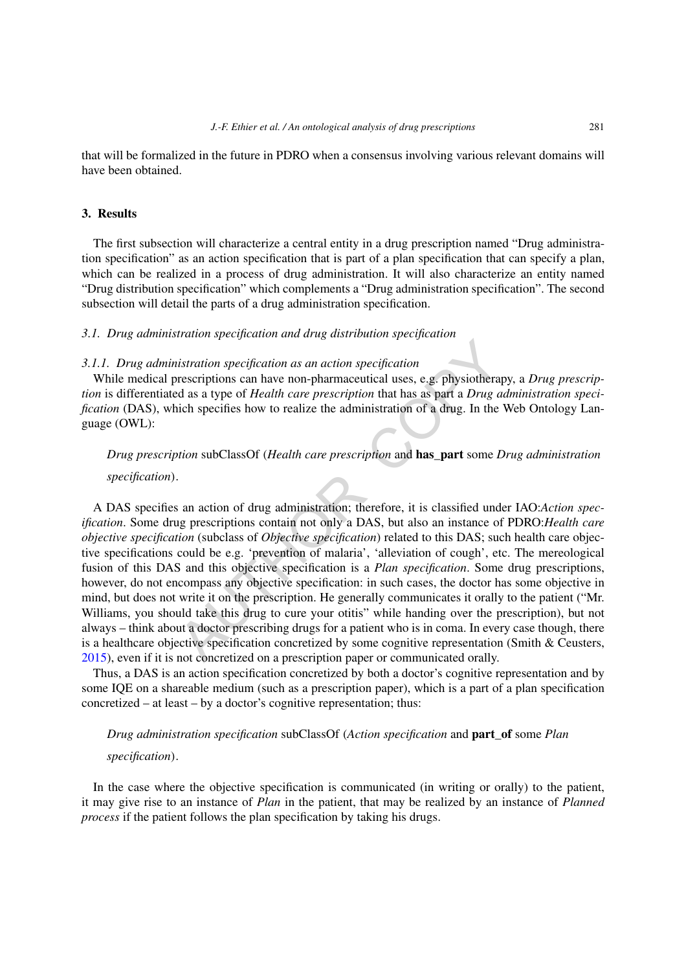that will be formalized in the future in PDRO when a consensus involving various relevant domains will ha v e been obtained.

## **3. Results**

The first subsection will characterize a central entity in a drug prescription named "Drug administration specification" as an action specification that is part of a plan specification that can specify a plan, which can be realized in a process of drug administration. It will also characterize an entity named "Drug distribution specification" which complements a "Drug administration specification". The second subsection will detail the parts of a drug administration specification.

*3.1. Drug administration specification and drug distrib ution specification*

#### *3.1.1. Drug administration specification a s a n action specification*

While medical prescriptions can have non-pharmaceutical uses, e.g. physiotherapy, a *Drug prescription* is differentiated as a type of *Health care prescription* that has as part a *Drug administration specification* (DAS), which specifies how to realize the administration of a drug. In the Web Ontology Language (OWL):

*Drug prescription* subClassOf *(Health care prescription* and **has\_part** some *Drug administration*

*specification).*

AUTHOR COPY*J.-F. Ethier et al. / An ontological analysis of drug prescriptions* 281 A DAS specifies an action of drug administration; therefore, it is classified under IAO:Action spec*ification*. Some drug prescriptions contain not only a DAS, but also an instance of PDRO:*Health care objective specification* (subclass of *Objective specification* ) related to this D AS; such health care objective specifications could be e.g. 'prevention of malaria', 'alleviation of cough', etc. The mereological fusion of this DAS and this objective specification is a *Plan specification*. Some drug prescriptions, however, do not encompass any objective specification: in such cases, the doctor has some objective in mind, but does not write it on the prescription. He generally communicates it orally to the patient ("Mr. Williams, you should take this drug to cure your otitis" while handing over the prescription), but not al w ays – think about a doctor prescribing drugs for a patient who i s i n coma. In e very case though, there is a healthcare objective specification concretized by some cognitive representation (Smith & Ceusters, [2015\)](#page-20-14), e ven if it is not concretized on a prescription paper or communicated orally .

Thus, a DAS is an action specification concretized by both a doctor's cognitive representation and by some IQE on a shareable medium (such as a prescription paper), which is a part of a plan specification concretized – at least – by a doctor's cognitive representation; thus:

*Drug administration specification* subClassOf *(Action specification* and **part\_of** some *Plan specification).*

In the case where the objective specification is communicated (in writing or orally) to the patient, it may give rise to an instance of *Plan* in the patient, that may be realized by an instance of *Planned* process if the patient follows the plan specification by taking his drugs.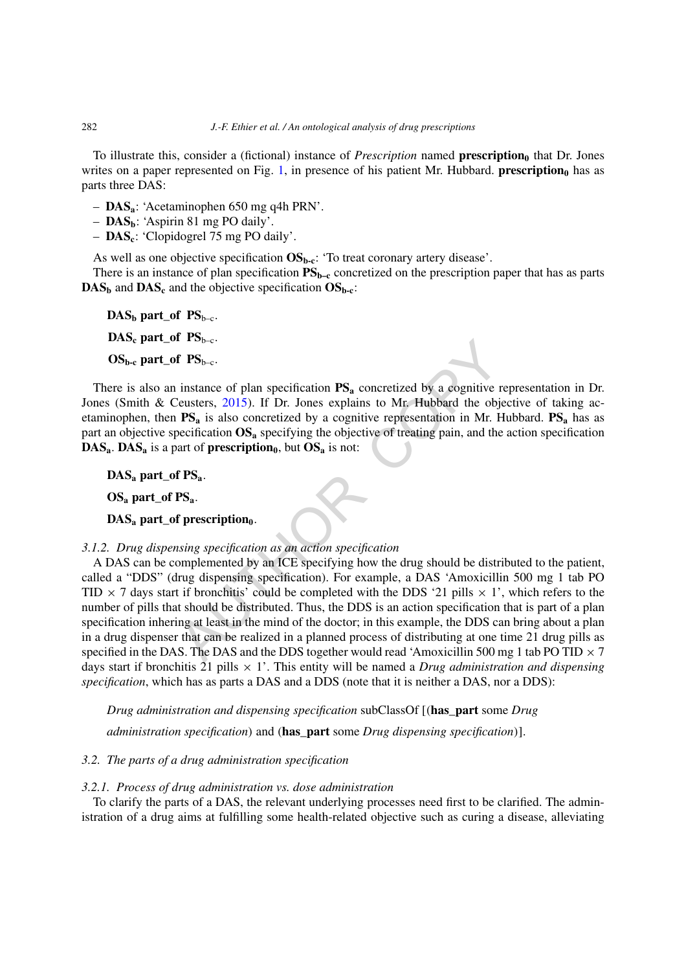To illustrate this, consider a (fictional) instance of *Prescription* named **prescription <sup>0</sup>** that Dr . Jones writes on a paper represented on Fig. [1](#page-6-0), in presence of his patient Mr. Hubbard. **prescription**<sub>0</sub> has as parts three D AS:

- **DA S a** : 'Acetaminophen 650 mg q4h PRN'.
- DAS<sub>b</sub>: 'Aspirin 81 mg PO daily'.
- **DA S c** : 'Clopidogrel 75 mg PO daily'.

As well as one objective specification  $OS_{b-c}$ : 'To treat coronary artery disease'.

There is an instance of plan specification  $PS_{b-c}$  concretized on the prescription paper that has as parts  $\bf{DAS_b}$  and  $\bf{DAS_c}$  and the objective specification  $\bf{OS_{b-c}}$ .

 $\text{DAS}_b$  part\_of  $\text{PS}_{b-c}$ .  $\text{DAS}_c$  part\_of  $\text{PS}_{b-c}$ .  $OS_{b-c}$  part\_of  $PS_{b-c}$ .

There is also an instance of plan specification  $PS_a$  concretized by a cognitive representation in Dr. Jones (Smith & Ceusters, 2015). If Dr. Jones explains to Mr. Hubbard the objective of taking acetaminophen, then PS<sub>a</sub> is also concretized by a cognitive representation in Mr. Hubbard. PS<sub>a</sub> has as part an objective specification  $OS_a$  specifying the objective of treating pain, and the action specification **DAS**<sup>a</sup>. **DAS**<sup>a</sup> is a part of **prescription**<sub>0</sub>, but  $OS$ <sup>a</sup> is not:

# **DA S <sup>a</sup> part\_of PS a** *.*

**OS <sup>a</sup> part\_of PS a** *.*

# **DA S <sup>a</sup> part\_of prescription 0** *.*

# *3.1.2. Drug dispensing specification a s a n action specification*

**F PS<sub>b-c</sub>.**<br> **EXECUTE:**<br> **EXECUTE:**<br> **EXECUTE:**<br> **EXECUTE:**<br> **EXECUTE:**<br> **EXECUTE:**<br> **EXECUTE:**<br> **EXECUTE:**<br> **EXECUTE:**<br> **EXECUTE:**<br> **EXECUTE:**<br> **EXECUTE:**<br> **EXECUTE:**<br> **EXECUTE:**<br> **EXECUTE:**<br> **EXECUTE:**<br> **EXECUTE:**<br> **EX** A DAS can be complemented by an ICE specifying h o w the drug should b e distributed to the patient, called a "DDS" (drug dispensing specification). For e xample, a DAS ' Amoxicillin 500 mg 1 tab PO TID  $\times$  7 days start if bronchitis' could be completed with the DDS '21 pills  $\times$  1', which refers to the number of pills that should be distributed. Thus, the DDS is an action specification that is part of a plan specification inhering at least in the mind of the doctor; in this example, the DDS can bring about a plan in a drug dispenser that can be realized in a planned process of distributing at one time 21 drug pills as specified in the DAS. The DAS and the DDS together would read 'Amoxicillin 500 mg 1 tab PO TID  $\times$  7 days start i f bronchitis 21 pills × 1'. This entity will be named a *Drug administration and dispensing* specification, which has as parts a DAS and a DDS (note that it is neither a DAS, nor a DDS):

*Drug administration and dispensing specification* subClassOf [ *(***has\_part** some *Drug*

*administration specification*) and (**has\_part** some *Drug dispensing specification*)].

# *3.2. The parts of a drug administration specification*

#### *3.2.1. Process of drug administration vs. dose administration*

To clarify the parts o f a D AS, the rele vant underlying processes need first to be clarified. The administration of a drug aims at fulfilling some health-related objective such as curing a disease, alleviating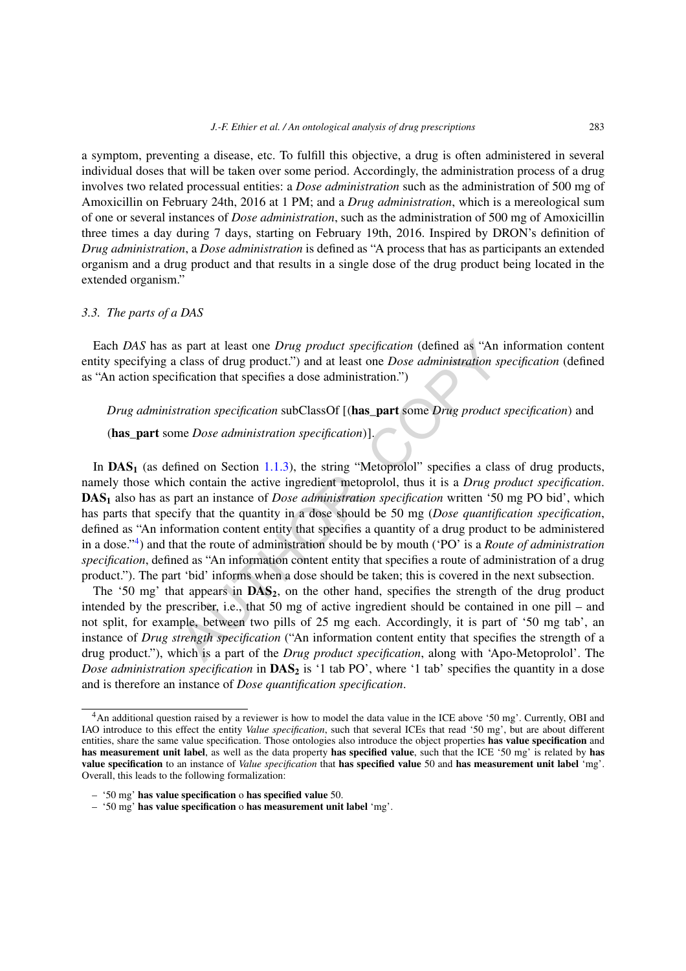*J.-E. Enhier et al. /An omological analysis of drug prescriptions*<br>283<br>21.*Ethier a disease, etc.* To folifill this objective, a drug is often administration process of a drug<br>statute is: a *Dose administration* such as t a symptom, preventing a disease, etc. To fulfill this objective, a drug is often administered in several individual doses that will be taken over some period. Accordingly, the administration process of a drug involves two related processual entities: a *Dose administration* such as the administration of 500 mg of Amoxicillin on February 24th, 2016 at 1 PM; and a *Drug administration* , which is a mereological sum of one or several instances of *Dose administration*, such as the administration of 500 mg of Amoxicillin three times a day during 7 days, starting on February 19th, 2016. Inspired by DRON's definition of *Drug administration*, a *Dose administration* is defined as "A process that has as participants an e xtended organism and a drug product and that results in a single dose o f the drug product being located in the extended organism."

#### *3.3. The parts of a DAS*

Each *DAS* has as part at least one *Drug product specification* (defined as "An information content entity specifying a class of drug product.") and at least one *Dose administration specification* (defined as "A n action specification that specifies a dose administration.")

*Drug administration specification* subClassOf [ *(***has\_part** some *Drug product specification )* and

# *(***has\_part** some *Dose administration specification )* ] *.*

In DAS<sub>1</sub> (as defined on Section 1.1.3), the string "Metoprolol" specifies a class of drug products, namely those which contain the active ingredient metoprolol, thus it is a *Drug product specification*. **DAS**<sup>1</sup> also has as part an instance of *Dose administration specification* written '50 mg PO bid', which has parts that specify that the quantity in a dose should be 50 mg (Dose quantification specification, defined as "An information content entity that specifies a quantity of a drug product to be administered in a dose. " [4](#page-10-0) ) and that the route o f administration should b e b y mouth ('PO' is a *Route of administration* specification, defined as "An information content entity that specifies a route of administration of a drug product."). The part 'bid' informs when a dose should be taken; this is covered in the next subsection.

The '50 mg' that appears in DAS<sub>2</sub>, on the other hand, specifies the strength of the drug product intended by the prescriber, i.e., that 50 mg of active ingredient should be contained in one pill – and not split, for example, between two pills of 25 mg each. Accordingly, it is part of '50 mg tab', an instance of *Drug strength specification* ("An information content entity that specifies the strength of a drug product."), which is a part of the *Drug product specification*, along with 'Apo-Metoprolol'. The Dose administration specification in **DAS**<sub>2</sub> is '1 tab PO', where '1 tab' specifies the quantity in a dose and i s therefore an instance of *Dose quantification specification* .

– ' 5 0 m g ' **has value specification** o **has measur ement unit label** 'mg'.

<span id="page-10-0"></span><sup>&</sup>lt;sup>4</sup>An additional question raised by a reviewer is how to model the data value in the ICE above '50 mg'. Currently, OBI and IAO introduce to this effect the entity *Value specification*, such that several ICEs that read '50 mg', but are about different entities, share the same v alue specification. Those ontologies also introduce the object properties **has value specification** and has measurement unit label, as well as the data property has specified value, such that the ICE '50 mg' is related by has **value** specification to an instance of *Value specification* that has specified value 50 and has measurement unit label 'mg'. Overall, this leads to the following formalization:

<sup>– &#</sup>x27; 5 0 m g ' **has value specification** o **has specified value** 50.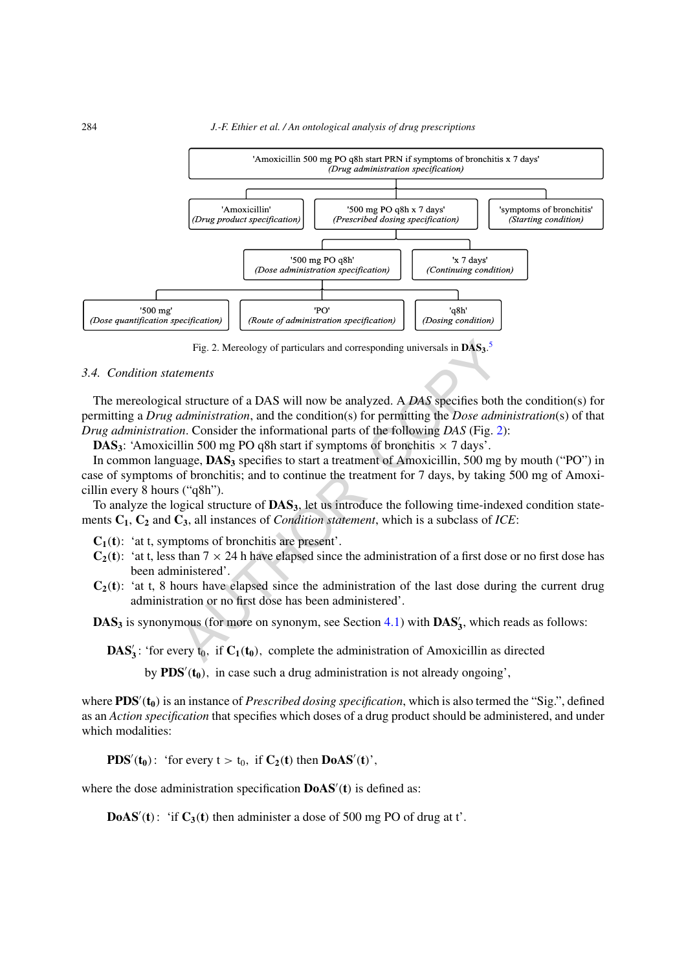#### *J.-F. Ethier e t al. / A n ontolo gical analysis of drug prescriptions*



<span id="page-11-0"></span>Fig. 2. Mereology of particulars and corresponding universals in  $\text{DAS}_3$ .<sup>5</sup>

#### *3.4. Condition statements*

Fig. 2. Mereology of particulars and corresponding universals in **DAS**<sub>3</sub>.<sup>5</sup><br>tements<br>al structure of a DAS will now be analyzed. A *DAS* specifies both<br>*administration*, and the condition(s) for permitting the *Dose adm* The mereological structure of a DAS will now be analyzed. A DAS specifies both the condition(s) for permitting a *Drug administration*, and the condition(s) for permitting the *Dose administration*(s) of that *Drug administration* . Consider the informational parts of the following *DA S* (Fig. [2\)](#page-11-0):

**DAS<sub>3</sub>:** 'Amoxicillin 500 mg PO q8h start if symptoms of bronchitis  $\times$  7 days'.

In common language, DAS<sub>3</sub> specifies to start a treatment of Amoxicillin, 500 mg by mouth ("PO") in case o f symptoms o f bronchitis; and to continue the treatment for 7 days, b y taking 500 mg of Amoxicillin every 8 hours ("q8h").

To analyze the logical structure of **DAS3**, let us introduce the following time-indexed condition statements **C1**, **C2** and **C3**, all instances of *Condition statement*, which is a subclass of *ICE*:

- $C_1(t)$ : 'at t, symptoms of bronchitis are present'.
- $C_2(t)$ : 'at t, less than  $7 \times 24$  h have elapsed since the administration of a first dose or no first dose has been administered'.
- $C_2(t)$ : 'at t, 8 hours have elapsed since the administration of the last dose during the current drug administration o r n o first dose has been administered'.

**DAS**<sub>3</sub> is synonymous (for more on synonym, see Section 4.1) with **DAS**<sup>'</sup><sub>3</sub>, which reads as follows:

**DAS**<sup>'</sup><sub>3</sub><sup>:</sup> 'for every  $t_0$ , if  $C_1(t_0)$ , complete the administration of Amoxicillin as directed

by  $PDS'(t_0)$ , in case such a drug administration is not already ongoing',

where **PDS**<sup>*(*</sup>**t**<sub>0</sub>) is an instance of *Prescribed dosing specification*, which is also termed the "Sig.", defined as an *Action specification* that specifies which doses of a drug product should be administered, and under which modalities:

**PDS<sup>'</sup>(<b>t**<sub>0</sub>): 'for every  $t > t_0$ , if  $C_2(t)$  then  $\textbf{DoAS}'(t)$ ',

where the dose administration specification  $\textbf{DoAS}'(t)$  is defined as:

**DoAS<sup>'</sup>(t):** 'if  $C_3$ (t) then administer a dose of 500 mg PO of drug at t'.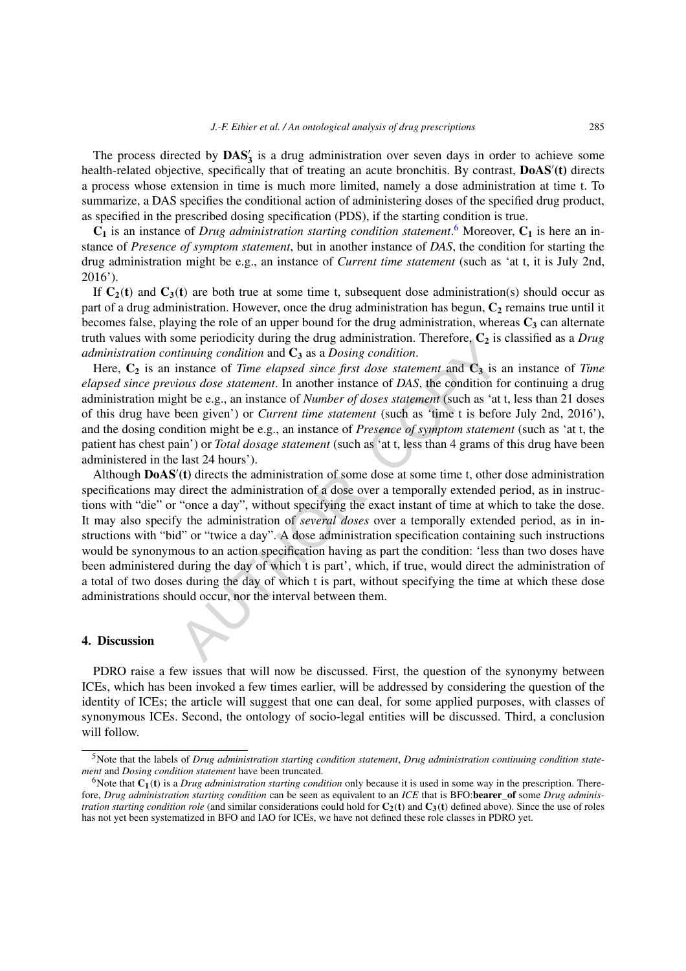The process directed by  $\mathbf{DAS}'_3$  is a drug administration over seven days in order to achieve some health-related objective, specifically that of treating an acute bronchitis. By contrast, **DoAS**<sup>'</sup>(t) directs a process whose extension in time is much more limited, namely a dose administration at time t. To summarize, a DAS specifies the conditional action of administering doses of the specified drug product, as specified i n the prescribed dosing specification (PDS), i f the starting condition i s true.

 $C_1$  is an instance of *Drug administration starting condition statement*.<sup>[6](#page-12-1)</sup> Moreover,  $C_1$  is here an instance of *Presence of symptom statement*, but in another instance of *DAS*, the condition for starting the drug administration might be e.g., an instance of *Current time statement* (such as 'at t, it is July 2nd, 2016').

If  $C_2(t)$  and  $C_3(t)$  are both true at some time t, subsequent dose administration(s) should occur as part of a drug administration. Howe v e r , once the drug administration has begun, **C <sup>2</sup>** remains true until it becomes false, playing the role o f a n upper bound for the drug administration, whereas **C <sup>3</sup>** can alternate truth values with some periodicity during the drug administration. Therefore,  $C_2$  is classified as a *Drug administration continuing condition* and **C <sup>3</sup>** as a *Dosing condition* .

Here,  $C_2$  is an instance of *Time elapsed since first dose statement* and  $C_3$  is an instance of *Time* elapsed since previous dose statement. In another instance of DAS, the condition for continuing a drug administration might be e.g., an instance of *Number of doses statement* (such as 'at t, less than 21 doses of this drug have been given') or *Current time statement* (such as 'time t is before July 2nd, 2016'), and the dosing condition might be e.g., an instance of *Presence of symptom statement* (such as 'at t, the patient has chest pain') or *Total dosage statement* (such as 'at t, less than 4 grams of this drug have been administered in the last 2 4 hours').

*J.-F. Ethier et al. /An omological analysis of drug prescriptions* 285<br>ctete by **DAS**<sup>*C*</sup> is a drug administration over seven days in order to achieve somethic<br>stetive, specifically that of treating an acute bronchiti Although DoAS<sup>'</sup>(t) directs the administration of some dose at some time t, other dose administration specifications may direct the administration of a dose over a temporally extended period, as in instructions with "die" or "once a day", without specifying the exact instant of time at which to take the dose. It may also specify the administration of *several doses* over a temporally extended period, as in instructions with "bid" or "twice a day". A dose administration specification containing such instructions would be synonymous to an action specification having as part the condition: 'less than two doses have been administered during the day of which t is part', which, if true, would direct the administration of a total of two doses during the day of which t is part, without specifying the time at which these dose administrations should occur , nor the interv a l between them.

## **4. Discussion**

PDRO raise a few issues that will now be discussed. First, the question of the synonymy between ICEs, which has been invoked a few times earlier, will be addressed by considering the question of the identity of ICEs; the article will suggest that one can deal, for some applied purposes, with classes of synonymous ICEs. Second, the ontology of socio-legal entities will be discussed. Third, a conclusion will follo w .

<span id="page-12-0"></span><sup>&</sup>lt;sup>5</sup>Note that the labels of *Drug administration starting condition statement*, *Drug administration continuing condition statement* and *Dosing condition statement* have been truncated.

<span id="page-12-1"></span><sup>&</sup>lt;sup>6</sup>Note that  $C_1(t)$  is a *Drug administration starting condition* only because it is used in some way in the prescription. Therefore, *Drug administration starting condition* can be seen as equivalent to an *ICE* that is BFO:**bearer\_of** some *Drug administration starting condition role* (and similar considerations could hold for  $C_2(t)$  and  $C_3(t)$  defined above). Since the use of roles has not yet been systematized in BFO and IAO for ICEs, we have not defined these role classes in PDRO yet.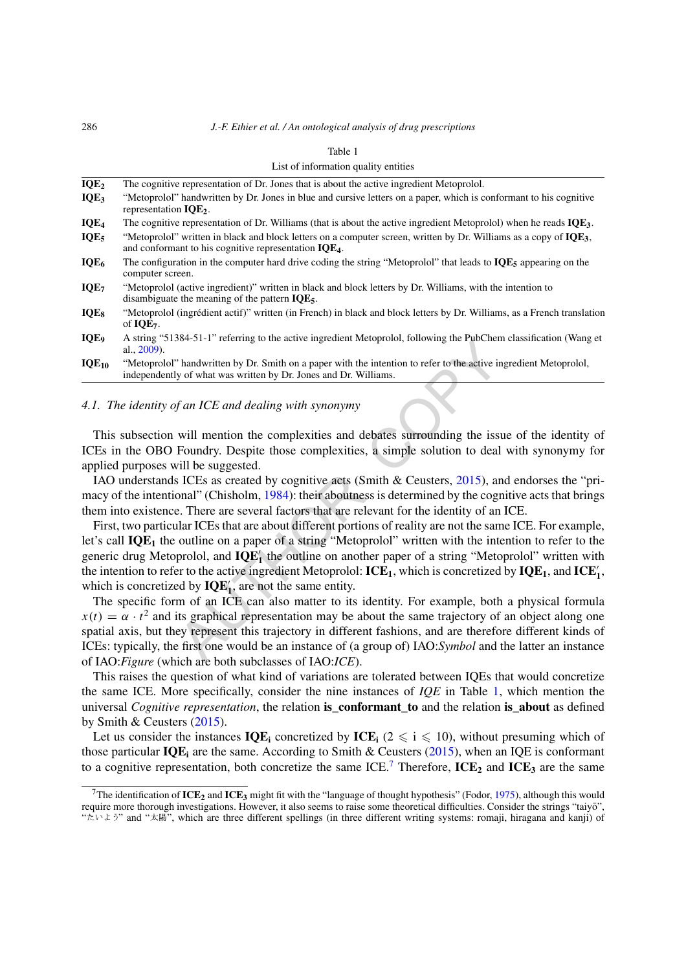| List of information quality entities |                                                                                                                                                                                       |
|--------------------------------------|---------------------------------------------------------------------------------------------------------------------------------------------------------------------------------------|
| IOE <sub>2</sub>                     | The cognitive representation of Dr. Jones that is about the active ingredient Metoprolol.                                                                                             |
| IOE <sub>3</sub>                     | "Metoprolol" handwritten by Dr. Jones in blue and cursive letters on a paper, which is conformant to his cognitive<br>representation $IQE2$ .                                         |
| IOE <sub>4</sub>                     | The cognitive representation of Dr. Williams (that is about the active ingredient Metoprolol) when he reads $IOE_3$ .                                                                 |
| IOE <sub>5</sub>                     | "Metoprolol" written in black and block letters on a computer screen, written by Dr. Williams as a copy of $IOE_3$ ,<br>and conformant to his cognitive representation $IOE4$ .       |
| $IQE_6$                              | The configuration in the computer hard drive coding the string "Metoprolol" that leads to $IQE5$ appearing on the<br>computer screen.                                                 |
| IOE <sub>7</sub>                     | "Metoprolol (active ingredient)" written in black and block letters by Dr. Williams, with the intention to<br>disambiguate the meaning of the pattern $IOE5$ .                        |
| $IOE_8$                              | "Metoprolol (ingrédient actif)" written (in French) in black and block letters by Dr. Williams, as a French translation<br>of $IOE7$ .                                                |
| IQE <sub>9</sub>                     | A string "51384-51-1" referring to the active ingredient Metoprolol, following the PubChem classification (Wang et<br>al., 2009).                                                     |
| $IQE_{10}$                           | "Metoprolol" handwritten by Dr. Smith on a paper with the intention to refer to the active ingredient Metoprolol,<br>independently of what was written by Dr. Jones and Dr. Williams. |

#### <span id="page-13-1"></span>Table 1

#### <span id="page-13-0"></span>*4.1. The identity of an ICE and dealing with synonymy*

This subsection will mention the complexities and debates surrounding the issue o f the identity of ICEs in the OBO Foundry. Despite those complexities, a simple solution to deal with synonymy for applied purposes will be suggested.

IAO understands ICEs as created by cognitive acts (Smith & Ceusters, 2015), and endorses the "primacy of the intentional" (Chisholm, 1984): their aboutness is determined by the cognitive acts that brings them into e xistence. There are se v eral factors that are rele v ant for the identity of an ICE.

<sup>2</sup> hadwritten by Dr. Smith on a paper with the intention to refer to the active ir<br>
<sup>2</sup> hadwritten by Dr. Smith on a paper with the intention to refer to the active ir<br>
2 of what was written by Dr. Jones and Dr. Williams First, two particular ICEs that are about different portions of reality are not the same ICE. For example, let's call IQE<sub>1</sub> the outline on a paper of a string "Metoprolol" written with the intention to refer to the generic drug Metoprolol, and **IQE**'<sub>1</sub> the outline on another paper of a string "Metoprolol" written with the intention to refer to the active ingredient Metoprolol:  $ICE_1$ , which is concretized by  $IQE_1$ , and  $ICE'_1$ , which is concretized by  $IQE'_1$ , are not the same entity.

The specific form of an ICE can also matter to its identity. For example, both a physical formula  $x(t) = \alpha \cdot t^2$  and its graphical representation may be about the same trajectory of an object along one spatial axis, but they represent this trajectory in different fashions, and are therefore different kinds of ICEs: typically, the first one would be an instance of (a group of) IAO:*Symbol* and the latter an instance of IAO: *Figure* (which are both subclasses o f I AO :*ICE*).

This raises the question o f what kind o f variations are tolerated between IQEs that would concretize the same ICE. More specifically, consider the nine instances of *IQE* in Table [1](#page-13-1), which mention the universal *Cognitive representation*, the relation **is\_conformant\_to** and the relation **is\_about** as defined by Smith & Ceusters [\(2015\)](#page-20-14).

Let us consider the instances  $IQE_i$  concretized by  $ICE_i$  ( $2 \leq i \leq 10$ ), without presuming which of those particular  $IQE_i$  are the same. According to Smith  $\&$  Ceusters [\(2015\)](#page-20-14), when an IQE is conformant to a cognitive representation, both concretize the same ICE.<sup>[7](#page-13-2)</sup> Therefore, ICE<sub>2</sub> and ICE<sub>3</sub> are the same

<span id="page-13-2"></span><sup>&</sup>lt;sup>7</sup>The identification of **ICE<sub>2</sub>** and **ICE**<sub>3</sub> might fit with the "language of thought hypothesis" (Fodor, [1975\)](#page-19-19), although this would require more thorough investigations. However, it also seems to raise some theoretical difficulties. Consider the strings "taiyo", "たいよう" and "太陽", which are three different spellings (in three different writing systems: romaji, hiragana and kanji) of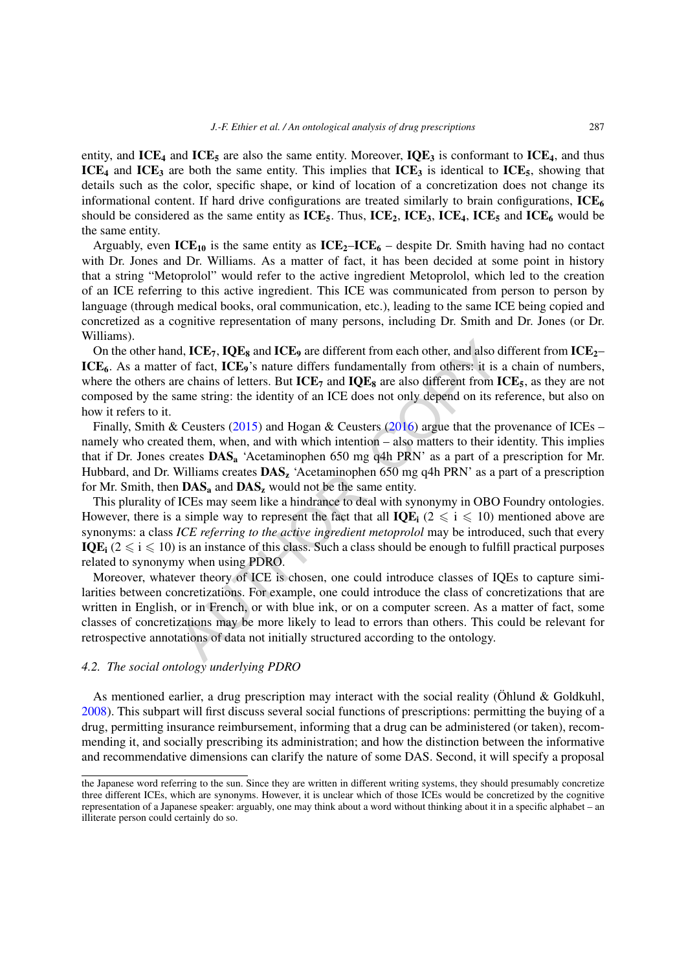entity, and  $ICE_4$  and  $ICE_5$  are also the same entity. Moreover,  $IQE_3$  is conformant to  $ICE_4$ , and thus **ICE**<sub>4</sub> and **ICE**<sub>3</sub> are both the same entity. This implies that **ICE**<sub>3</sub> is identical to **ICE**<sub>5</sub>, showing that details such as the color , specific shape, or kind of location o f a concretization does not change its informational content. If hard drive configurations are treated similarly to brain configurations, ICE<sub>6</sub> should be considered as the same entity as **ICE**<sub>5</sub>. Thus, **ICE**<sub>2</sub>, **ICE**<sub>3</sub>, **ICE**<sub>4</sub>, **ICE**<sub>5</sub> and **ICE**<sub>6</sub> would be the same entity .

*J.-F. Ethier et al. An omelogical analysis of drug prescriptions* 287<br> **OLCEs**, are also the same entity. Moreover, **IQE**<sub>5</sub> is conformant to ICE<sub>4</sub>. and thus<br>
re both the same entity and is implies that ICE<sub>5</sub> is iden Arguably, even  $ICE_{10}$  is the same entity as  $ICE_2-ICE_6$  – despite Dr. Smith having had no contact with Dr. Jones and Dr. Williams. As a matter of fact, it has been decided at some point in history that a string "Metoprolol" would refer to the active ingredient Metoprolol, which led to the creation of an ICE referring to this active ingredient. This ICE was communicated from person to person by language (through medical books, oral communication, etc.), leading to the same ICE being copied and concretized as a cognitive representation of many persons, including Dr. Smith and Dr. Jones (or Dr. Williams).

On the other hand,  $\text{ICE}_{7}$ ,  $\text{IQE}_{8}$  and  $\text{ICE}_{9}$  are different from each other, and also different from  $\text{ICE}_{2}$ **ICE**<sup>6</sup>. As a matter of fact, **ICE**<sup> $\prime$ </sup>'s nature differs fundamentally from others: it is a chain of numbers, where the others are chains of letters. But  $ICE_7$  and  $IQE_8$  are also different from  $ICE_5$ , as they are not composed by the same string: the identity of an ICE does not only depend on its reference, but also on ho w i t refers t o it.

Finally, Smith & Ceusters (2015) and Hogan & Ceusters (2016) argue that the provenance of ICEs – namely who created them, when, and with which intention – also matters to their identity. This implies that if Dr. Jones creates  $\text{DAS}_a$  'Acetaminophen 650 mg q4h PRN' as a part of a prescription for Mr. Hubbard, and Dr. Williams creates  $\text{DAS}_z$  'Acetaminophen 650 mg q4h PRN' as a part of a prescription for Mr. Smith, then  $\bf{DAS}_a$  and  $\bf{DAS}_z$  would not be the same entity.

This plurality of ICEs may seem lik e a hindrance to deal with synonymy i n OBO Foundry ontologies. However, there is a simple way to represent the fact that all  $IQE_i$  ( $2 \leq i \leq 10$ ) mentioned above are synonyms: a class ICE referring to the active ingredient metoprolol may be introduced, such that every  $IQE_i$  ( $2 \leq i \leq 10$ ) is an instance of this class. Such a class should be enough to fulfill practical purposes related to synonymy when using PDRO.

Moreover, whatever theory of ICE is chosen, one could introduce classes of IQEs to capture similarities between concretizations. For example, one could introduce the class of concretizations that are written in English, or in French, or with blue ink, or on a computer screen. As a matter of fact, some classes o f concretizations may b e more likely t o lead to errors than others. This could b e rele vant for retrospective annotations of data not initially structured according to the ontology.

#### *4.2. The social ontolo g y underlying PDR O*

As mentioned earlier, a drug prescription may interact with the social reality (Öhlund & Goldkuhl, [2008\)](#page-20-22). This subpart will first discuss several social functions of prescriptions: permitting the buying of a drug, permitting insurance reimb ursement, informing that a drug can be administered (or taken), recommending it, and socially prescribing its administration; and how the distinction between the informative and recommendative dimensions can clarify the nature of some DAS. Second, it will specify a proposal

the Japanese word referring to the sun. Since they are written in different writing systems, they should presumably concretize three different ICEs, which are synonyms. However, it is unclear which of those ICEs would be concretized by the cognitive representation of a Japanese speaker: arguably, one may think about a word without thinking about it in a specific alphabet – an illiterate person could certainly do so.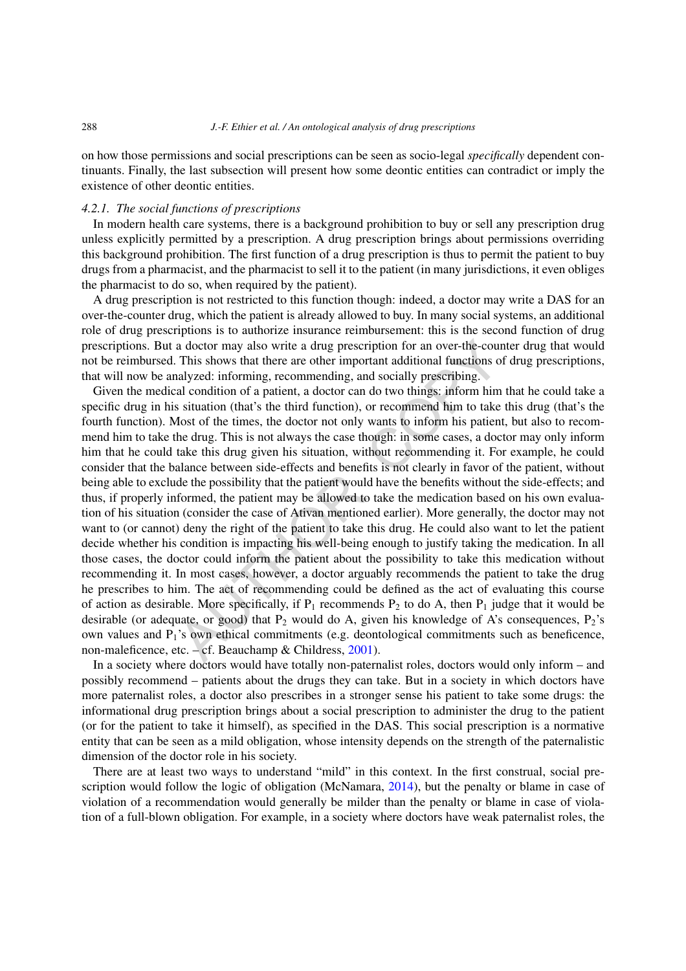on ho w those permissions and social prescriptions can be seen as socio-legal *specifically* dependent continuants. Finally, the last subsection will present how some deontic entities can contradict or imply the existence of other deontic entities.

#### *4.2.1. The social functions of prescriptions*

In modern health care systems, there is a background prohibition to buy or sell any prescription drug unless explicitly permitted by a prescription. A drug prescription brings about permissions overriding this background prohibition. The first function of a drug prescription is thus to permit the patient to buy drugs from a pharmacist, and the pharmacist to sell it to the patient (in many jurisdictions, it even obliges the pharmacist to do so, when required b y the patient).

A drug prescription is not restricted to this function though: indeed, a doctor may write a DAS for an o v e r -the-counter drug, which the patient is already allowed t o buy . I n man y social systems, a n additional role of drug prescriptions is to authorize insurance reimbursement: this is the second function of drug prescriptions. But a doctor may also write a drug prescription for an over-the-counter drug that would not be reimb ursed. This shows that there are other important additional functions of drug prescriptions, that will no w b e analyzed: informing, recommending, and socially prescribing.

a doctor may also write a drug prescription for an over-the-courn This shows that there are other important additional functions of alyzed: informing, recommending, and socially prescribing.<br>
al condition of a patient, a Given the medical condition of a patient, a doctor can do two things: inform him that he could take a specific drug in his situation (that's the third function), or recommend him to take this drug (that's the fourth function). Most of the times, the doctor not only wants to inform his patient, but also to recommend him to take the drug. This is not always the case though: in some cases, a doctor may only inform him that he could take this drug given his situation, without recommending it. For example, he could consider that the balance between side-effects and benefits is not clearly in favor of the patient, without being able to exclude the possibility that the patient would have the benefits without the side-effects; and thus, i f properly informed, the patient may b e allowed t o tak e the medication based on his own e valuation of his situation (consider the case of Ativan mentioned earlier). More generally, the doctor may not want to (or cannot) deny the right of the patient to take this drug. He could also want to let the patient decide whether his condition is impacting his well-being enough to justify taking the medication. In all those cases, the doctor could inform the patient about the possibility to tak e this medication without recommending it. In most cases, however, a doctor arguably recommends the patient to take the drug he prescribes to him. The act of recommending could be defined as the act of evaluating this course of action as desirable. More specifically, if  $P_1$  recommends  $P_2$  to do A, then  $P_1$  judge that it would be desirable (or adequate, or good) that  $P_2$  would do A, given his knowledge of A's consequences,  $P_2$ 's own values and P<sub>1</sub>'s own ethical commitments (e.g. deontological commitments such as beneficence, non-maleficence, etc. - cf. Beauchamp & Childress, 2001).

In a society where doctors would have totally non-paternalist roles, doctors would only inform - and possibly recommend – patients about the drugs they can take. But in a society in which doctors have more paternalist roles, a doctor also prescribes i n a stronger sense his patient to tak e some drugs: the informational drug prescription brings about a social prescription t o administer the drug to the patient (or for the patient to take it himself), as specified in the DAS. This social prescription is a normative entity that can be seen as a mild obligation, whose intensity depends on the strength of the paternalistic dimension of the doctor role in his society.

There are at least two ways to understand "mild" in this context. In the first construal, social prescription would follow the logic of obligation (McNamara, [2014\)](#page-20-23), but the penalty or blame in case of violation of a recommendation would generally be milder than the penalty or blame in case of violation of a full-blown obligation. For example, in a society where doctors have weak paternalist roles, the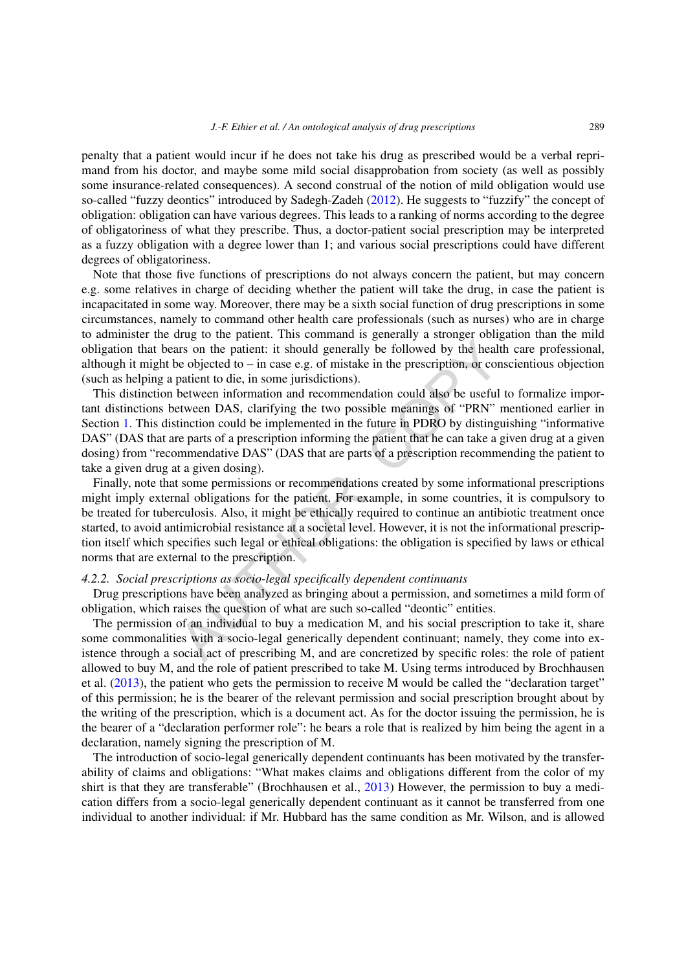*J.-E. Enhier et al. /An omological analysis of drug prescriptions*<br>289<br>31.*F. Enhier if the does not take his drug as prescribed would be a verbal enti-<br>entr, would incur if the does not take his drug as prescribed conseq* penalty that a patient would incur if he does not take his drug as prescribed would be a verbal reprimand from his doctor, and maybe some mild social disapprobation from society (as well as possibly some insurance-related consequences). A second construal of the notion of mild obligation would use so-called "fuzzy deontics" introduced by Sadegh-Zadeh [\(2012\)](#page-20-24). He suggests to "fuzzify" the concept of obligation: obligation can have various degrees. This leads to a ranking of norms according to the degree of obligatoriness o f what the y prescribe. Thus, a doctor -patient social prescription may be interpreted as a fuzzy obligation with a degree lower than 1; and various social prescriptions could have different degrees of obligatoriness.

Note that those five functions of prescriptions do not always concern the patient, but may concern e.g. some relatives in charge of deciding whether the patient will take the drug, in case the patient is incapacitated i n some way . Moreo v e r , there may be a sixth social function o f drug prescriptions in some circumstances, namely t o command other health care professionals (such a s nurses) who are in charge to administer the drug to the patient. This command is generally a stronger obligation than the mild obligation that bears o n the patient: i t should generally be followed b y the health care professional, although it might be objected to – in case e.g. of mistake in the prescription, or conscientious objection (such a s helping a patient to die, in some jurisdictions).

This distinction between information and recommendation could also be useful to formalize important distinctions between D AS, clarifying the t w o possible meanings of "PRN" mentioned earlier i n Section [1](#page-0-5). This distinction could be implemented in the future in PDRO by distinguishing "informative DAS" (DAS that are parts of a prescription informing the patient that he can take a given drug at a given dosing) from "recommendative DAS" (DAS that are parts of a prescription recommending the patient to take a given drug at a given dosing).

Finally, note that some permissions or recommendations created by some informational prescriptions might imply external obligations for the patient. For e xample, in some countries, i t i s compulsory to be treated for tuberculosis. Also, it might be ethically required to continue an antibiotic treatment once started, to avoid antimicrobial resistance at a societal level. However, it is not the informational prescription itself which specifies such legal or ethical obligations: the obligation is specified by laws or ethical norms that are external t o the prescription.

#### *4.2.2. Social p rescriptions as socio-legal specifically dependent continuants*

Drug prescriptions ha v e been analyzed as bringing about a permission, and sometimes a mild form of obligation, which raises the question o f what are such so-called "deontic" entities.

The permission of an individual to buy a medication M, and his social prescription to take it, share some commonalities with a socio-legal generically dependent continuant; namely, they come into existence through a social act of prescribing M, and are concretized by specific roles: the role of patient allowed t o buy M, and the role of patient prescribed to tak e M. Using terms introduced by Brochhausen et al. [\(2013](#page-19-16)), the patient who gets the permission to receive M would be called the "declaration target" of this permission; he is the bearer of the rele vant permission and social prescription brought about by the writing of the prescription, which is a document act. As for the doctor issuing the permission, he is the bearer of a "declaration performer role": he bears a role that is realized by him being the agent in a declaration, namely signing the prescription o f M .

The introduction of socio-legal generically dependent continuants has been motivated by the transferability of claims and obligations: "What makes claims and obligations different from the color of my shirt is that they are transferable" (Brochhausen et al., [2013](#page-19-16)) However, the permission to buy a medication differs from a socio-legal generically dependent continuant as it cannot be transferred from one individual to another individual: if Mr. Hubbard has the same condition as Mr. Wilson, and is allowed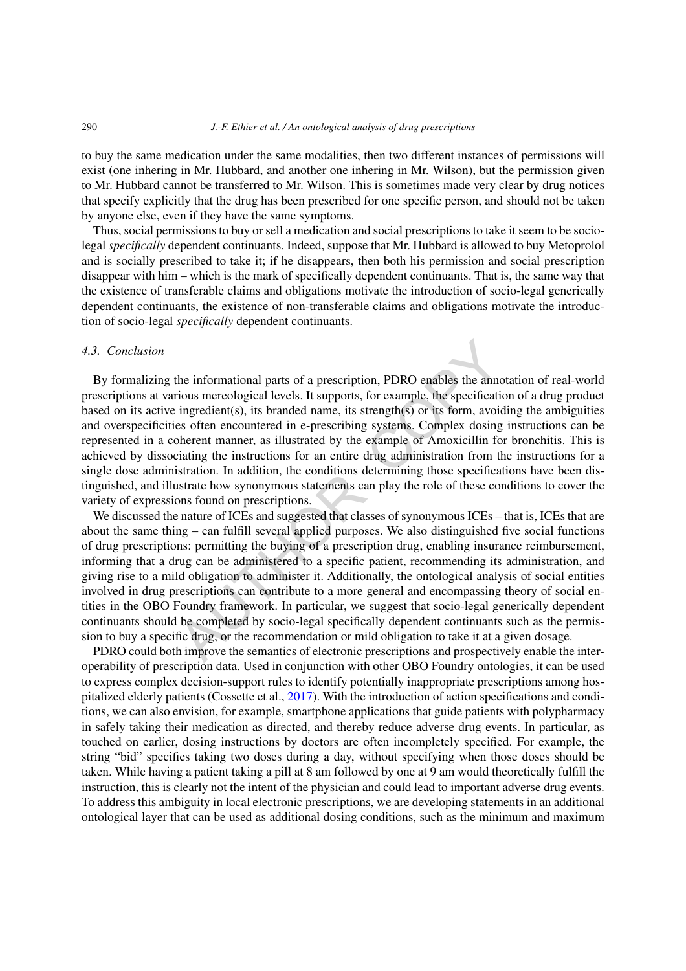to buy the same medication under the same modalities, then two different instances of permissions will exist (one inhering in Mr. Hubbard, and another one inhering in Mr. Wilson), but the permission given to Mr. Hubbard cannot be transferred to Mr. Wilson. This is sometimes made very clear by drug notices that specify explicitly that the drug has been prescribed for one specific person, and should not be tak e n by anyone else, even if they have the same symptoms.

Thus, social permissions to buy or sell a medication and social prescriptions to take it seem to be sociolegal *specifically* dependent continuants. Indeed, suppose that Mr. Hubbard is allowed to buy Metoprolol and i s socially prescribed to tak e it; if he disappears, then both his permission and social prescription disappear with him – which is the mark of specifically dependent continuants. That is, the same way that the existence of transferable claims and obligations motivate the introduction of socio-legal generically dependent continuants, the existence of non-transferable claims and obligations motivate the introduction of socio-legal *specifically* dependent continuants.

#### *4.3. Conclusion*

the informational parts of a prescription, PDRO enables the annotious mereological levels. It supports, for example, the specificati ingredient(s), its branded name, its strength(s) or its form, avoies often encountered in By formalizing the informational parts of a prescription, PDRO enables the annotation of real-world prescriptions at various mereological levels. It supports, for example, the specification of a drug product based on its active ingredient(s), its branded name, its strength(s) or its form, avoiding the ambiguities and o v erspecificities often encountered in e-prescribing systems. Comple x dosing instructions can be represented in a coherent manner, as illustrated by the example of Amoxicillin for bronchitis. This is achieved by dissociating the instructions for an entire drug administration from the instructions for a single dose administration. In addition, the conditions determining those specifications have been distinguished, and illustrate how synonymous statements can play the role of these conditions to cover the variety of expressions found on prescriptions.

We discussed the nature of ICEs and suggested that classes of synonymous ICEs – that is, ICEs that are about the same thing – can fulfill several applied purposes. We also distinguished five social functions of drug prescriptions: permitting the buying of a prescription drug, enabling insurance reimb ursement, informing that a drug can be administered to a specific patient, recommending its administration, and giving rise to a mild obligation t o administer it. Additionally , the ontological analysis of social entities involved in drug prescriptions can contribute to a more general and encompassing theory of social entities in the OBO Foundry framework. In particular, we suggest that socio-legal generically dependent continuants should be completed by socio-legal specifically dependent continuants such as the permission to buy a specific drug, or the recommendation or mild obligation to take it at a given dosage.

PDRO could both improve the semantics of electronic prescriptions and prospectively enable the interoperability of prescription data. Used in conjunction with other OBO Foundry ontologies, i t can be used to express comple x decision-support rules to identify potentially inappropriate prescriptions among hospitalized elderly patients (Cossette et al., [2017](#page-19-21)). With the introduction of action specifications and conditions, we can also envision, for example, smartphone applications that guide patients with polypharmacy in safely taking their medication as directed, and thereby reduce adverse drug events. In particular, as touched on earlier, dosing instructions by doctors are often incompletely specified. For example, the string "bid" specifies taking two doses during a day, without specifying when those doses should be taken. While having a patient taking a pill at 8 am followed by one at 9 am would theoretically fulfill the instruction, this is clearly not the intent of the physician and could lead to important adverse drug events. To address this ambiguity in local electronic prescriptions, w e are de v eloping statements in an additional ontological layer that can be used as additional dosing conditions, such a s the minimum and maximum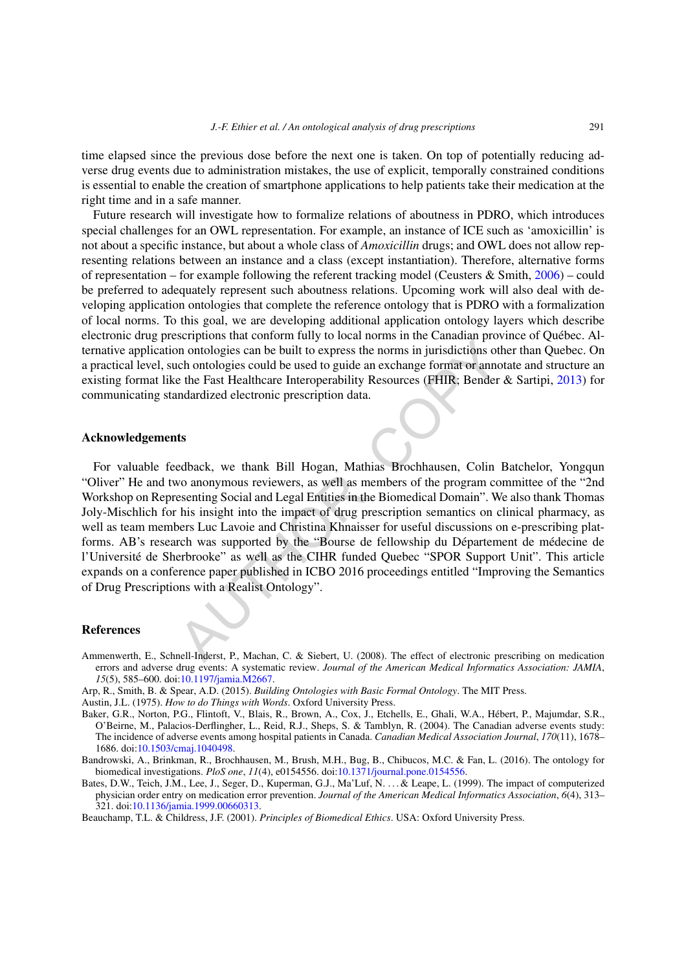time elapsed since the previous dose before the next one is taken. On top of potentially reducing adverse drug events due to administration mistakes, the use of explicit, temporally constrained conditions is essential to enable the creation of smartphone applications to help patients take their medication at the right time and in a safe manner .

*J.-E. Enhier et al. /An omological analysis of drug prescriptions* 291<br>the previous dose before the next one is taken. On to go for enhility reducing ad-<br>the to administration mistakes, the use of explicit, temporally con Future research will investigate how to formalize relations of aboutness in PDRO, which introduces special challenges for an OWL representation. For example, an instance of ICE such as 'amoxicillin' is not about a specific instance, but about a whole class of *Amoxicillin* drugs; and OWL does not allow representing relations between an instance and a class (except instantiation). Therefore, alternative forms of representation – for example following the referent tracking model (Ceusters & Smith, [2006](#page-19-22)) – could be preferred to adequately represent such aboutness relations. Upcoming work will also deal with developing application ontologies that complete the reference ontology that is PDRO with a formalization of local norms. To this goal, we are d e veloping additional application ontology layers which describe electronic drug prescriptions that conform fully to local norms in the Canadian province of Québec. Alternative application ontologies can be built to express the norms in jurisdictions other than Quebec. On a practical level, such ontologies could be used to guide an exchange format or annotate and structure an existing format like the Fast Healthcare Interoperability Resources (FHIR; Bender & Sartipi, [2013](#page-19-23)) for communicating standardized electronic prescription data.

#### **Acknowledgements**

For valuable feedback, we thank Bill Hogan, Mathias Brochhausen, Colin Batchelor, Yongqun "Oliver" He and two anonymous reviewers, as well as members of the program committee of the "2nd Workshop on Representing Social and Le g a l Entities i n the Biomedical Domain". We also thank Thomas Joly-Mischlich for his insight into the impact of drug prescription semantics on clinical pharmacy, as well as team members Luc Lavoie and Christina Khnaisser for useful discussions on e-prescribing platforms. AB's research was supported by the "Bourse de fellowship du Département de médecine de l'Université de Sherbrooke" as well as the CIHR funded Quebec "SPOR Support Unit". This article expands on a conference paper published in ICBO 2016 proceedings entitled "Improving the Semantics of Drug Prescriptions with a Realist Ontology".

#### **Refer ences**

<span id="page-18-2"></span>Ammenwerth, E., Schnell-Inderst, P., Machan, C. & Siebert, U. (2008). The effect of electronic prescribing on medication errors and adverse drug events: A systematic review. Journal of the American Medical Informatics Association: JAMIA, *15*(5), 585–600. doi[:10.1197/jamia.M2667](http://dx.doi.org/10.1197/jamia. M2667) .

<span id="page-18-3"></span>Arp, R., Smith, B . & Spear, A.D. (2015). *Building Ontolo gies with Basic Formal Ontolo g y* . The MIT Press.

<span id="page-18-5"></span>Austin, J.L. (1975). *How to do Things with Words*. Oxford University Press.

<span id="page-18-0"></span>Baker, G.R., Norton, P.G., Flintoft, V., Blais, R., Brown, A., Cox, J., Etchells, E., Ghali, W.A., Hébert, P., Majumdar, S.R., O'Beirne, M., Palacios-Derflingher, L., Reid, R.J., Sheps, S. & Tamblyn, R. (2004). The Canadian adverse events study: The incidence of adverse events among hospital patients in Canada. *Canadian Medical Association Journal*, 170(11), 1678– 1686. doi[:10.1503/cmaj.1040498](http://dx.doi.org/10.1503/cmaj.1040498) .

<span id="page-18-4"></span>Bandrowski, A., Brinkman, R., Brochhausen, M., Brush, M.H., Bug, B., Chibucos, M.C. & Fan, L. (2016). The ontology for biomedical inv estigations. *PloS one* , *11*(4), e0154556. doi[:10.1371/journal.pone.0154556](http://dx.doi.org/10.1371/journal.pone.0154556) .

<span id="page-18-1"></span>Bates, D.W., Teich, J.M., Lee, J., Seger, D., Kuperman, G.J., Ma'Luf, N. ...& Leape, L. (1999). The impact of computerized physician order entry on medication error prevention. Journal of the American Medical Informatics Association, 6(4), 313-321. doi[:10.1136/jamia.1999.00660313](http://dx.doi.org/10.1136/jamia.1999.00660313) .

<span id="page-18-6"></span>Beauchamp, T.L. & Childress, J.F. (2001). *Principles of Biomedical Ethics*. USA: Oxford University Press.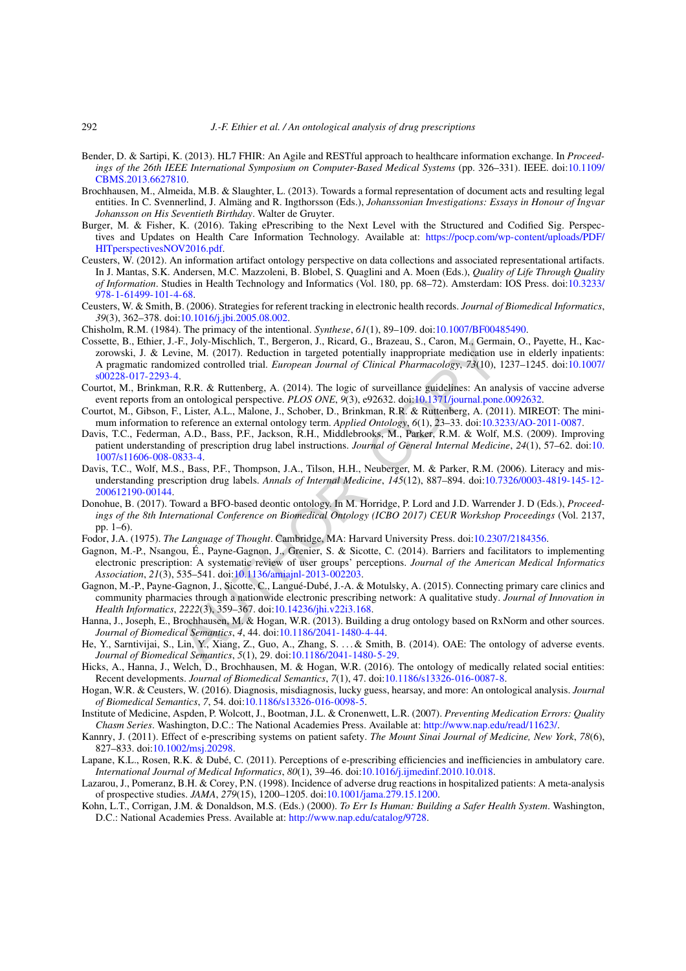- <span id="page-19-23"></span>Bender, D. & Sartipi, K. (2013). HL7 FHIR: An Agile and RESTful approach to healthcare information exchange. In *Proceedings of the 26th IEEE International Symposium on Computer-Based Medical Systems* (pp. 326–331). IEEE. doi[:10.1109/](http://dx.doi.org/10.1109/CBMS.2013.6627810) [CBMS.2013.6627810](http://dx.doi.org/10.1109/CBMS.2013.6627810) .
- <span id="page-19-16"></span>Brochhausen, M., Almeida, M.B. & Slaughter, L. (2013). Towards a formal representation of document acts and resulting legal entities. In C. Svennerlind, J. Almäng and R . Ingthorsson (Eds.), *Johanssonian Investigations: Essays in Honour of Ingvar Johansson o n His Seventieth Birthday* . Walter d e Gruyter.
- <span id="page-19-9"></span>Burger, M. & Fisher, K. (2016). Taking ePrescribing to the Next Level with the Structured and Codified Sig. Perspectives and Updates on Health Care Information Technology. Available at: [https://pocp.com/wp-content/uploads/PDF/](https://pocp.com/wp-content/uploads/PDF/HITperspectivesNOV2016.pdf) HITperspecti [vesNOV2016.pdf](https://pocp.com/wp-content/uploads/PDF/HITperspectivesNOV2016.pdf) .
- <span id="page-19-14"></span>Ceusters, W. (2012). An information artifact ontology perspective on data collections and associated representational artifacts. In J. Mantas, S.K. Andersen, M.C. Mazzoleni, B. Blobel, S. Quaglini and A. Moen (Eds.), *Quality of Life Through Quality* of Information. Studies in Health Technology and Informatics (Vol. 180, pp. 68–72). Amsterdam: IOS Press. doi[:10.3233/](http://dx.doi.org/10.3233/978-1-61499-101-4-68) [978-1-61499-101-4-68](http://dx.doi.org/10.3233/978-1-61499-101-4-68) .
- <span id="page-19-22"></span>Ceusters, W. & Smith, B . (2006). Strate gies for referent tracking i n electronic health records. *Journal of Biomedical Informatics* , *39*(3), 362–378. doi[:10.1016/j.jbi.2005.08.002](http://dx.doi.org/10.1016/j.jbi.2005.08.002) .
- <span id="page-19-18"></span>Chisholm, R.M. (1984). The primacy of the intentional. *Synthese*, 61(1), 89–109. doi[:10.1007/BF00485490](http://dx.doi.org/10.1007/BF00485490).
- <span id="page-19-21"></span>.F., Joly-Mischlich, T., Bergeron, J., Ricard, G., Brazeau, S., Caron, M., Germanie, M. (2017). Reduction in targeted potentially inappropriate medication increme. M., R.R. & Ruttenberg, A. (2014). I.e., R.R. & Ruttenberg, Cossette, B., Ethier, J.-F., Joly-Mischlich, T., Bergeron, J., Ricard, G., Brazeau, S., Caron, M., Germain, O., Payette, H., Kaczorowski, J. & Levine, M. (2017). Reduction in targeted potentially inappropriate medication use in elderly inpatients: A pragmatic randomized controlled trial. *European Journal of Clinical Pharmacology*, *73*(10), 1237–1245. doi[:10.1007/](http://dx.doi.org/10.1007/s00228-017-2293-4) [s00228-017-2293-](http://dx.doi.org/10.1007/s00228-017-2293-4) 4 .
- <span id="page-19-11"></span>Courtot, M., Brinkman, R.R. & Ruttenberg, A. (2014). The logic of surveillance guidelines: An analysis of vaccine adverse event reports from an ontological perspective. *PLOS ONE*, 9(3), e92632. doi[:10.1371/journal.pone.0092632](http://dx.doi.org/10.1371/journal.pone.0092632).
- <span id="page-19-13"></span>Courtot, M., Gibson, F., Lister, A.L., Malone, J., Schober, D., Brinkman, R.R. & Ruttenberg, A. (2011). MIREOT: The minimum information to reference an external ontology term. *Applied Ontology*, *6*(1), 23–33. doi[:10.3233/AO-2011-0087.](http://dx.doi.org/10.3233/AO-2011-0087)
- <span id="page-19-3"></span>Davis, T.C., Federman, A.D., Bass, P.F., Jackson, R.H., Middlebrooks, M., Parker, R.M. & Wolf, M.S. (2009). Improving patient understanding of prescription drug label instructions. *Journal of Genera l Internal Medicine* , *24*(1), 57–62. doi[:10.](http://dx.doi.org/10.1007/s11606-008-0833-4) [1007/s11606-008-0833-](http://dx.doi.org/10.1007/s11606-008-0833-4) 4 .
- <span id="page-19-2"></span>Davis, T.C., Wolf, M.S., Bass, P.F., Thompson, J.A., Tilson, H.H., Neuberger, M. & Parker, R.M. (2006). Literacy and misunderstanding prescription drug labels. *Annals of Internal Medicine*, *145*(12), 887–894. doi[:10.7326/0003-4819-145-12-](http://dx.doi.org/10.7326/0003-4819-145-12-200612190-00144) [200612190-00144](http://dx.doi.org/10.7326/0003-4819-145-12-200612190-00144) .
- <span id="page-19-17"></span>Donohue, B. (2017). Toward a BFO-based deontic ontology. In M. Horridge, P. Lord and J.D. Warrender J. D (Eds.), Proceed*ings of the 8th International Conference on Biomedical Ontology (ICBO 2017) CEUR Workshop Proceedings* (Vol. 2137, pp. 1–6).
- <span id="page-19-19"></span>Fodor, J.A. (1975). *The Language of Thought*. Cambridge, MA: Harvard University Press. doi[:10.2307/2184356](http://dx.doi.org/10.2307/2184356).
- <span id="page-19-7"></span>Gagnon, M.-P., Nsangou, É., Payne-Gagnon, J., Grenier, S. & Sicotte, C. (2014). Barriers and facilitators to implementing electronic prescription: A systematic revie w of user groups' perceptions. *Journal of the American Medical Informatics Association* , *21*(3), 535–541. doi:10.1136/amiajnl-2013-002203 .
- <span id="page-19-8"></span>Gagnon, M.-P., Payne-Gagnon, J., Sicotte, C., Langué-Dubé, J.-A. & Motulsky, A. (2015). Connecting primary care clinics and community pharmacies through a nationwide electronic prescribing network: A qualitative study. Journal of Innovation in *Health Informatics* , *2222*(3), 359–367. doi:10.14236/jhi.v22i3.168 .
- <span id="page-19-10"></span>Hanna, J., Joseph, E., Brochhausen, M. & Hogan, W.R. (2013). Building a drug ontology based on RxNorm and other sources. *Journal of Biomedical Semantics* , *4* , 44. doi:10.1186/2041-1480-4-44 .
- <span id="page-19-5"></span>He, Y., Sarntivijai, S., Lin, Y., Xiang, Z., Guo, A., Zhang, S. ...& Smith, B. (2014). OAE: The ontology of adverse events. *Journal of Biomedical Semantics* , *5*(1), 29. doi:10.1186/2041-1480-5-29 .
- <span id="page-19-15"></span>Hicks, A., Hanna, J., Welch, D., Brochhausen, M. & Hogan, W.R. (2016). The ontology of medically related social entities: Recent d e velopments. *Journal of Biomedical Semantics* , *7*(1), 47. doi[:10.1186/s13326-016-0087-](http://dx.doi.org/10.1186/s13326-016-0087-8) 8 .
- <span id="page-19-20"></span>Hogan, W.R. & Ceusters, W. (2016). Diagnosis, misdiagnosis, lucky guess, hearsay, and more: An ontological analysis. *Journal of Biomedical Semantics* , *7* , 54. doi[:10.1186/s13326-016-0098-](http://dx.doi.org/10.1186/s13326-016-0098-5) 5 .
- <span id="page-19-4"></span>Institute of Medicine, Aspden, P. Wolcott, J., Bootman, J.L. & Cronenwett, L.R. (2007). *Preventing Medication Errors: Quality* Chasm Series. Washington, D.C.: The National Academies Press. Available at: <http://www.nap.edu/read/11623/>.
- <span id="page-19-6"></span>Kannry, J. (2011). E ffect of e-prescribing systems on patient safety. *The Mount Sinai Journal of Medicine , Ne w York* , *78*(6), 827–833. doi[:10.1002/msj.20298](http://dx.doi.org/10.1002/msj.20298) .
- <span id="page-19-12"></span>Lapane, K.L., Rosen, R.K. & Dubé, C. (2011). Perceptions of e-prescribing efficiencies and inefficiencies in ambulatory care. *International Journal of Medical Informatics* , *80*(1), 39–46. doi[:10.1016/j.ijmedinf.2010.10.018](http://dx.doi.org/10.1016/j.ijmedinf.2010.10.018) .
- <span id="page-19-0"></span>Lazarou, J., Pomeranz, B.H. & Corey, P.N. (1998). Incidence of adverse drug reactions in hospitalized patients: A meta-analysis of prospective studies. *JAMA*, 279(15), 1200-1205. doi[:10.1001/jama.279.15.1200](http://dx.doi.org/10.1001/jama.279.15.1200).
- <span id="page-19-1"></span>Kohn, L.T . , Corrigan, J.M. & Donaldson, M.S. (Eds.) (2000). *To Err Is Human: Building a Safer Health System* . Washington, D.C.: National Academies Press. Available at: <http://www.nap.edu/catalog/9728>.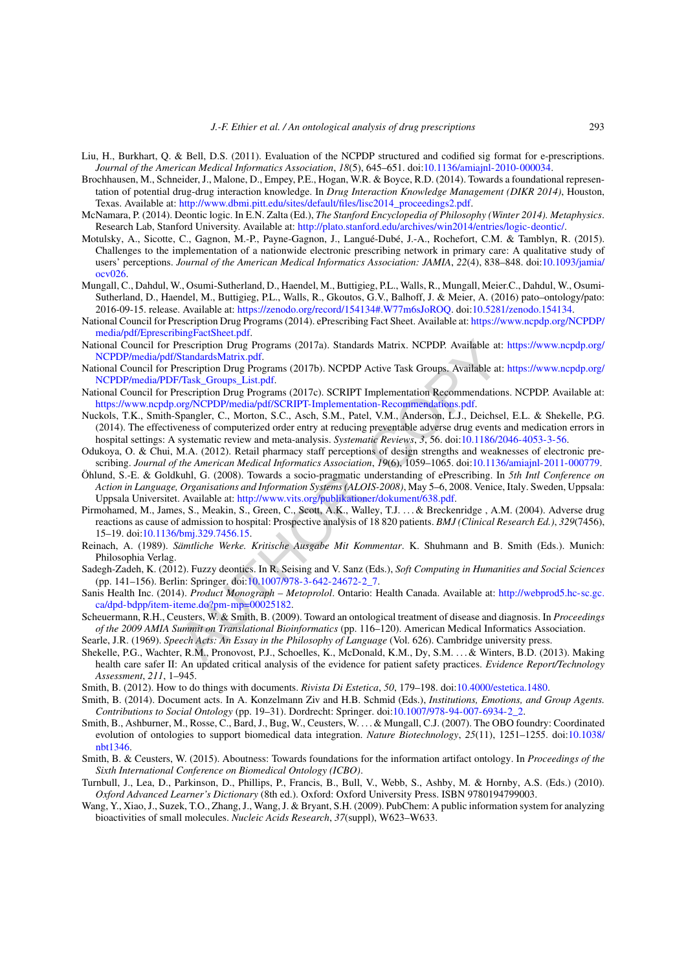- <span id="page-20-1"></span>Liu, H., Burkhart, Q. & Bell, D.S. (2011). Evaluation of the NCPDP structured and codified sig format for e-prescriptions. *Journal of the American Medical Informatics Association* , *18*(5), 645–651. doi[:10.1136/amiajnl-2010-000034](http://dx.doi.org/10.1136/amiajnl-2010-000034) .
- <span id="page-20-10"></span>Brochhausen, M., Schneider, J., Malone, D., Empey, P.E., Hogan, W.R. & Boyce, R.D. (2014). Towards a foundational representation of potential drug-drug interaction knowledge. In *Drug Interaction Knowledge Management (DIKR 2014)*, Houston, Texas. Available at: [http://www.dbmi.pitt.edu/sites/default/files/lisc2014\\_proceedings2.pdf.](http://www.dbmi.pitt.edu/sites/default/files/lisc2014_proceedings2.pdf)
- <span id="page-20-23"></span><span id="page-20-4"></span>McNamara, P. (2014). Deontic logic. In E.N. Zalta (Ed.), *The Stanford Encyclopedia of Philosophy (Winter 2014). Metaphysics* . Research Lab, Stanford University. Available at: http://plato.stanford.edu/archi[ves/win2014/entries/logic-deontic/](http://plato.stanford.edu/archives/win2014/entries/logic-deontic/).
- *J.-F. Ethier et al. An ontological analysis of drug prescriptions*<br> **ABIL** DS. (2011). Evaluation of the NCPD structured and codified sig format for energitions,<br>
then IL Distribution of the NCPD structured and codified s Motulsky, A., Sicotte, C., Gagnon, M.-P., Payne-Gagnon, J., Langué-Dubé, J.-A., Rochefort, C.M. & Tamblyn, R. (2015). Challenges to the implementation of a nationwide electronic prescribing network in primary care: A qualitative study of users' perceptions. *Journal of the American Medical Informatics Association: JAMIA* , *22*(4), 838–848. doi[:10.1093/jamia/](http://dx.doi.org/10.1093/jamia/ocv026) [ocv026](http://dx.doi.org/10.1093/jamia/ocv026) .
- <span id="page-20-16"></span>Mungall, C., Dahdul, W., Osumi-Sutherland, D., Haendel, M., Buttigieg, P.L., Walls, R., Mungall, Meier.C., Dahdul, W., Osumi-Sutherland, D., Haendel, M., Buttigieg, P.L., Walls, R., Gkoutos, G.V., Balhoff, J. & Meier, A. (2016) pato–ontology/pato: 2016-09-15. release. Available at: [https://zenodo.org/record/154134#.W77m6sJoR](https://zenodo.org/record/154134#.W77m6sJoROQ) O Q . doi[:10.5281/zenodo.154134](http://dx.doi.org/10.5281/zenodo.154134) .
- <span id="page-20-5"></span>National Council for Prescription Drug Programs (2014). ePrescribing Fact Sheet. Available at: [https://www.ncpdp.org/NCPDP/](https://www.ncpdp.org/NCPDP/media/pdf/EprescribingFactSheet.pdf) [media/pdf/EprescribingFactSheet.pdf](https://www.ncpdp.org/NCPDP/media/pdf/EprescribingFactSheet.pdf) .
- <span id="page-20-6"></span>National Council for Prescription Drug Programs (2017a). Standards Matrix. NCPDP. Available at: [https://www.ncpdp.org/](https://www.ncpdp.org/NCPDP/media/pdf/StandardsMatrix.pdf) [NCPDP/media/pdf/StandardsMatrix.pdf](https://www.ncpdp.org/NCPDP/media/pdf/StandardsMatrix.pdf) .
- <span id="page-20-8"></span>National Council for Prescription Drug Programs (2017b). NCPDP Active Task Groups. Available at: [https://www.ncpdp.org/](https://www.ncpdp.org/NCPDP/media/PDF/Task_Groups_List.pdf) [NCPDP/media/PDF/Task\\_Groups\\_List.pdf](https://www.ncpdp.org/NCPDP/media/PDF/Task_Groups_List.pdf) .
- <span id="page-20-7"></span>National Council for Prescription Drug Programs (2017c). SCRIPT Implementation Recommendations. NCPDP. Available at: https://www.ncpdp.org/NCPDP/media/pdf/SCRIPT-Implementation-Recommendations.pdf .
- <span id="page-20-3"></span>Nuckols, T.K., Smith-Spangler, C., Morton, S.C., Asch, S.M., Patel, V.M., Anderson, L.J., Deichsel, E.L. & Shekelle, P.G. (2014). The effecti veness o f computerized order entry at reducing pre v entable adv erse drug e v ents and medication errors in hospital settings: A systematic review and meta-analysis. *Systematic Reviews*, 3, 56. doi[:10.1186/2046-4053-3-56](http://dx.doi.org/10.1186/2046-4053-3-56).
- <span id="page-20-11"></span>Odukoya, O. & Chui, M.A. (2012). Retail pharmacy staff perceptions of design strengths and weaknesses of electronic prescribing. *Journal of the American Medical Informatics Association*, *19*(6), 1059–1065. doi[:10.1136/amiajnl-2011-000779.](http://dx.doi.org/10.1136/amiajnl-2011-000779)
- <span id="page-20-22"></span>Öhlund, S.-E. & Goldkuhl, G . (2008). To wards a socio-pragmatic understanding of ePrescribing. In *5th Intl Conference on Action i n Langua g e , O rganisations and Information Systems(ALOIS-2008)* , May 5–6, 2008. Venice, Italy. Sweden, Uppsala: Uppsala Universitet. Available at: http://www.vits.org/publikationer/dokument/638.pdf.
- <span id="page-20-0"></span>Pirmohamed, M., James, S., Meakin, S., Green, C., Scott, A.K., Walley, T.J. ...& Breckenridge, A.M. (2004). Adverse drug reactions as cause of admission to hospital: Prospective analysis of 18 820 patients. *BMJ (Clinical Research Ed.)*, 329(7456), 15–19. doi[:10.1136/bmj.329.7456.15](http://dx.doi.org/10.1136/bmj.329.7456.15) .
- <span id="page-20-19"></span>Reinach, A. (1989). Sämtliche Werke. Kritische Ausgabe Mit Kommentar. K. Shuhmann and B. Smith (Eds.). Munich: Philosophia Verlag.
- <span id="page-20-24"></span>Sadegh-Zadeh, K. (2012). Fuzzy deontics. In R. Seising and V. Sanz (Eds.), *Soft Computing i n Humanities and Social Sciences* (pp. 141–156). Berlin: Springer. doi:10.1007/978-3-642-24672-2\_7 .
- <span id="page-20-12"></span>Sanis Health Inc. (2014). *Product Monograph - Metoprolol*. Ontario: Health Canada. Available at: http://webprod5.hc-sc.gc. [ca/dpd-bdpp/item-iteme.do?pm-](http://webprod5.hc-sc.gc.ca/dpd-bdpp/item-iteme.do?pm-mp=00025182)mp=00025182 .
- <span id="page-20-15"></span>Scheuermann, R.H., Ceusters, W. & Smith, B. (2009). Toward an ontological treatment of disease and diagnosis. In Proceedings of the 2009 AMIA Summit on Translational Bioinformatics (pp. 116–120). American Medical Informatics Association.
- <span id="page-20-20"></span>Searle, J.R. (1969). *Speech Acts: An Essay in the Philosophy of Language* (Vol. 626). Cambridge university press.
- <span id="page-20-2"></span>Shekelle, P.G., Wachter, R.M., Pronovost, P.J., Schoelles, K., McDonald, K.M., Dy, S.M. ...& Winters, B.D. (2013). Making health care safer II: An updated critical analysis of the evidence for patient safety practices. *Evidence Report/Technology Assessment* , *211* , 1–945.
- <span id="page-20-17"></span>Smith, B. (2012). How to do things with documents. *Rivista Di Estetica*, 50, 179–198. doi[:10.4000/estetica.1480](http://dx.doi.org/10.4000/estetica.1480).
- <span id="page-20-18"></span>Smith, B . (2014). Document acts. In A. Konzelmann Zi v and H.B. Schmid (Eds.), *Institutions, Emotions, and Group Agents. Contrib utions to Social Ontolo g y* (pp. 19–31). Dordrecht: Springer. doi[:10.1007/978-94-007-6934-2\\_2](http://dx.doi.org/10.1007/978-94-007-6934-2_2) .
- <span id="page-20-9"></span>Smith, B., Ashburner, M., Rosse, C., Bard, J., Bug, W., Ceusters, W. . . . & Mungall, C.J. (2007). The OBO foundry: Coordinated e volution o f ontologies to support biomedical data integration. *Nature Biotechnolo g y* , *25*(11), 1251–1255. doi[:10.1038/](http://dx.doi.org/10.1038/nbt1346) [nbt1346](http://dx.doi.org/10.1038/nbt1346) .
- <span id="page-20-14"></span>Smith, B. & Ceusters, W. (2015). Aboutness: Towards foundations for the information artifact ontology. In *Proceedings of the Sixth International Conference on Biomedical Ontology (ICBO)* .
- <span id="page-20-13"></span>Turnbull, J., Lea, D., Parkinson, D., Phillips, P., Francis, B., Bull, V., Webb, S., Ashby, M. & Hornby, A.S. (Eds.) (2010). *Oxford Advanced Learner' s Dictionary* (8th ed.). Oxford: Oxford Uni versity Press. ISBN 9780194799003.
- <span id="page-20-21"></span>Wang, Y., Xiao, J., Suzek, T.O., Zhang, J., Wang, J. & Bryant, S.H. (2009). PubChem: A public information system for analyzing bioacti vities o f small molecules. *Nucleic Acids Researc h* , *37*(suppl), W623–W633.